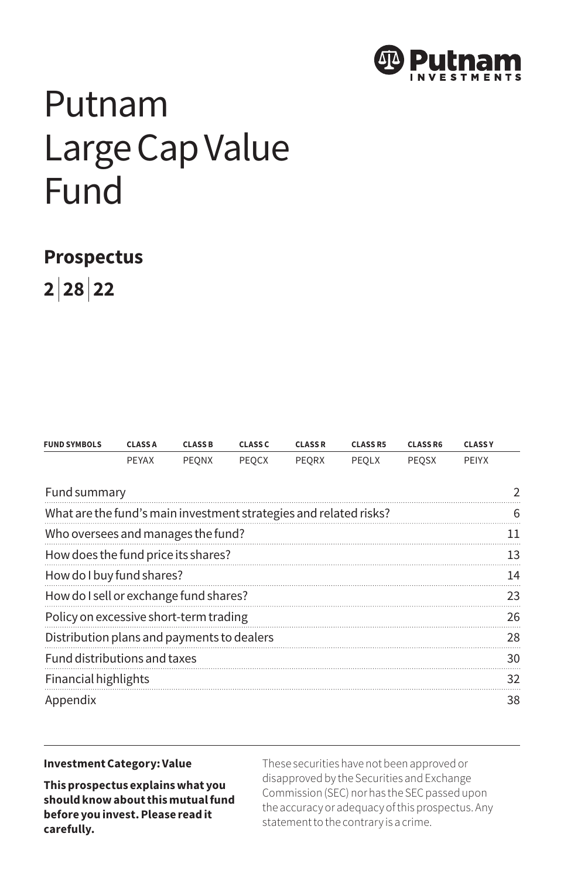

# Putnam Large Cap Value Fund

## **Prospectus**

**2 | 28 | 22**

| <b>FUND SYMBOLS</b>                                               | <b>CLASSA</b> | <b>CLASS B</b> | <b>CLASS C</b> | <b>CLASS R</b> | <b>CLASS R5</b> | <b>CLASS R6</b> | <b>CLASSY</b> |               |
|-------------------------------------------------------------------|---------------|----------------|----------------|----------------|-----------------|-----------------|---------------|---------------|
|                                                                   | PEYAX         | PEONX          | PEOCX          | PEORX          | PEOLX           | PEOSX           | <b>PEIYX</b>  |               |
| Fund summary                                                      |               |                |                |                |                 |                 |               | $\mathcal{P}$ |
| What are the fund's main investment strategies and related risks? |               |                |                |                |                 |                 |               | 6             |
| Who oversees and manages the fund?                                |               |                |                |                |                 |                 |               | 11            |
| How does the fund price its shares?                               |               |                |                |                |                 |                 |               | 13            |
| How do I buy fund shares?                                         |               |                |                |                |                 |                 |               | 14            |
| How do I sell or exchange fund shares?                            |               |                |                |                |                 |                 |               | 23            |
| Policy on excessive short-term trading                            |               |                |                |                |                 |                 |               | 26            |
| Distribution plans and payments to dealers                        |               |                |                |                |                 |                 |               | 28            |
| Fund distributions and taxes                                      |               |                |                |                |                 |                 |               | 30            |
| Financial highlights                                              |               |                |                |                |                 |                 |               | 32            |
| Appendix                                                          |               |                |                |                |                 |                 |               | 38            |
|                                                                   |               |                |                |                |                 |                 |               |               |

#### **Investment Category: Value**

**This prospectus explains what you should know about this mutual fund before you invest. Please read it carefully.**

These securities have not been approved or disapproved by the Securities and Exchange Commission (SEC) nor has the SEC passed upon the accuracy or adequacy of this prospectus. Any statement to the contrary is a crime.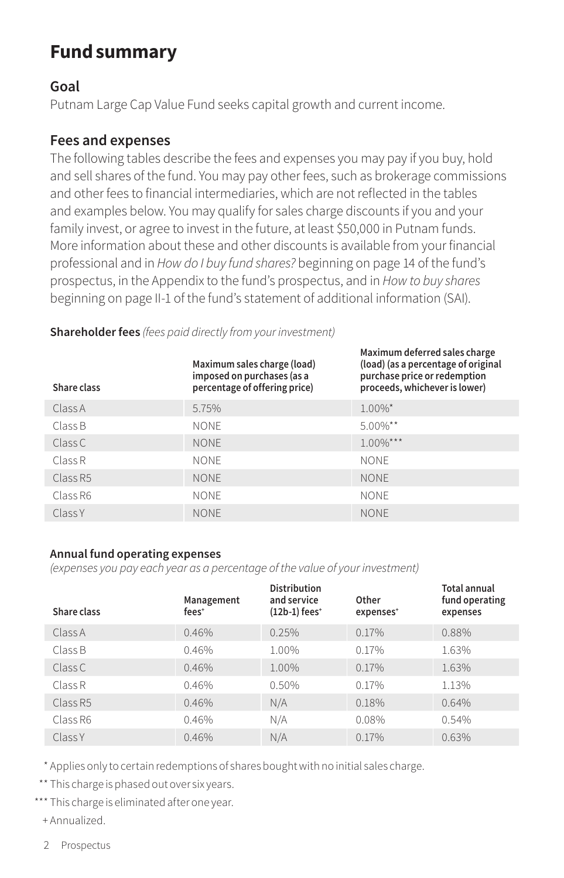## **Fund summary**

#### **Goal**

Putnam Large Cap Value Fund seeks capital growth and current income.

#### **Fees and expenses**

The following tables describe the fees and expenses you may pay if you buy, hold and sell shares of the fund. You may pay other fees, such as brokerage commissions and other fees to financial intermediaries, which are not reflected in the tables and examples below. You may qualify for sales charge discounts if you and your family invest, or agree to invest in the future, at least \$50,000 in Putnam funds. More information about these and other discounts is available from your financial professional and in *How do I buy fund shares?* beginning on page 14 of the fund's prospectus, in the Appendix to the fund's prospectus, and in *How to buy shares* beginning on page II-1 of the fund's statement of additional information (SAI).

| Share class | Maximum sales charge (load)<br>imposed on purchases (as a<br>percentage of offering price) | Maximum deferred sales charge<br>(load) (as a percentage of original<br>purchase price or redemption<br>proceeds, whichever is lower) |
|-------------|--------------------------------------------------------------------------------------------|---------------------------------------------------------------------------------------------------------------------------------------|
| Class A     | 5.75%                                                                                      | $1.00\%$ *                                                                                                                            |
| Class B     | <b>NONE</b>                                                                                | $5.00\%$ **                                                                                                                           |
| Class C     | <b>NONE</b>                                                                                | $1.00\%$ ***                                                                                                                          |
| Class R     | <b>NONE</b>                                                                                | <b>NONE</b>                                                                                                                           |
| Class R5    | <b>NONE</b>                                                                                | <b>NONE</b>                                                                                                                           |
| Class R6    | <b>NONE</b>                                                                                | <b>NONE</b>                                                                                                                           |
| Class Y     | <b>NONF</b>                                                                                | <b>NONF</b>                                                                                                                           |

**Shareholder fees** *(fees paid directly from your investment)*

#### **Annual fund operating expenses**

*(expenses you pay each year as a percentage of the value of your investment)*

| Share class | Management<br>$fees+$ | <b>Distribution</b><br>and service<br>$(12b-1)$ fees <sup>+</sup> | Other<br>expenses <sup>+</sup> | Total annual<br>fund operating<br>expenses |
|-------------|-----------------------|-------------------------------------------------------------------|--------------------------------|--------------------------------------------|
| Class A     | 0.46%                 | 0.25%                                                             | 0.17%                          | 0.88%                                      |
| Class B     | 0.46%                 | 1.00%                                                             | 0.17%                          | 1.63%                                      |
| Class C     | 0.46%                 | 1.00%                                                             | 0.17%                          | 1.63%                                      |
| Class R     | 0.46%                 | 0.50%                                                             | 0.17%                          | 1.13%                                      |
| Class R5    | 0.46%                 | N/A                                                               | 0.18%                          | 0.64%                                      |
| Class R6    | 0.46%                 | N/A                                                               | $0.08\%$                       | 0.54%                                      |
| Class Y     | 0.46%                 | N/A                                                               | 0.17%                          | 0.63%                                      |

\* Applies only to certain redemptions of shares bought with no initial sales charge.

\*\* This charge is phased out over six years.

\*\*\* This charge is eliminated after one year.

+ Annualized.

2 Prospectus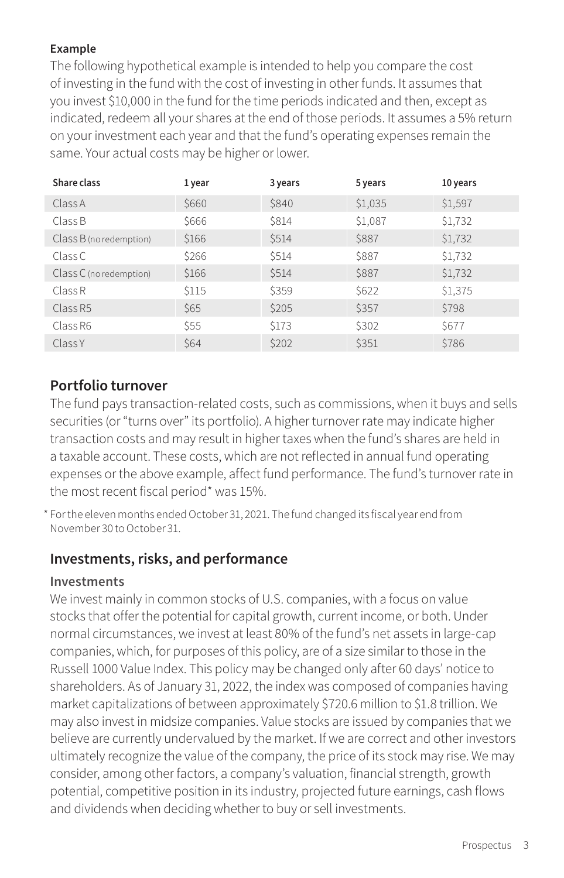#### **Example**

The following hypothetical example is intended to help you compare the cost of investing in the fund with the cost of investing in other funds. It assumes that you invest \$10,000 in the fund for the time periods indicated and then, except as indicated, redeem all your shares at the end of those periods. It assumes a 5% return on your investment each year and that the fund's operating expenses remain the same. Your actual costs may be higher or lower.

| Share class             | 1 year | 3 years<br>5 years |         | 10 years |
|-------------------------|--------|--------------------|---------|----------|
| Class A                 | \$660  | \$840              | \$1,035 | \$1,597  |
| Class B                 | \$666  | \$814              | \$1,087 | \$1,732  |
| Class B (no redemption) | \$166  | \$514              | \$887   | \$1,732  |
| Class C                 | \$266  | \$514              | \$887   | \$1,732  |
| Class C (no redemption) | \$166  | \$514              | \$887   | \$1,732  |
| Class R                 | \$115  | \$359              | \$622   | \$1,375  |
| Class R5                | \$65   | \$205              | \$357   | \$798    |
| Class R6                | \$55   | \$173              | \$302   | \$677    |
| Class Y                 | \$64   | \$202              | \$351   | \$786    |

#### **Portfolio turnover**

The fund pays transaction-related costs, such as commissions, when it buys and sells securities (or "turns over" its portfolio). A higher turnover rate may indicate higher transaction costs and may result in higher taxes when the fund's shares are held in a taxable account. These costs, which are not reflected in annual fund operating expenses or the above example, affect fund performance. The fund's turnover rate in the most recent fiscal period\* was 15%.

\* For the eleven months ended October 31, 2021. The fund changed its fiscal year end from November 30 to October 31.

#### **Investments, risks, and performance**

#### **Investments**

We invest mainly in common stocks of U.S. companies, with a focus on value stocks that offer the potential for capital growth, current income, or both. Under normal circumstances, we invest at least 80% of the fund's net assets in large-cap companies, which, for purposes of this policy, are of a size similar to those in the Russell 1000 Value Index. This policy may be changed only after 60 days' notice to shareholders. As of January 31, 2022, the index was composed of companies having market capitalizations of between approximately \$720.6 million to \$1.8 trillion. We may also invest in midsize companies. Value stocks are issued by companies that we believe are currently undervalued by the market. If we are correct and other investors ultimately recognize the value of the company, the price of its stock may rise. We may consider, among other factors, a company's valuation, financial strength, growth potential, competitive position in its industry, projected future earnings, cash flows and dividends when deciding whether to buy or sell investments.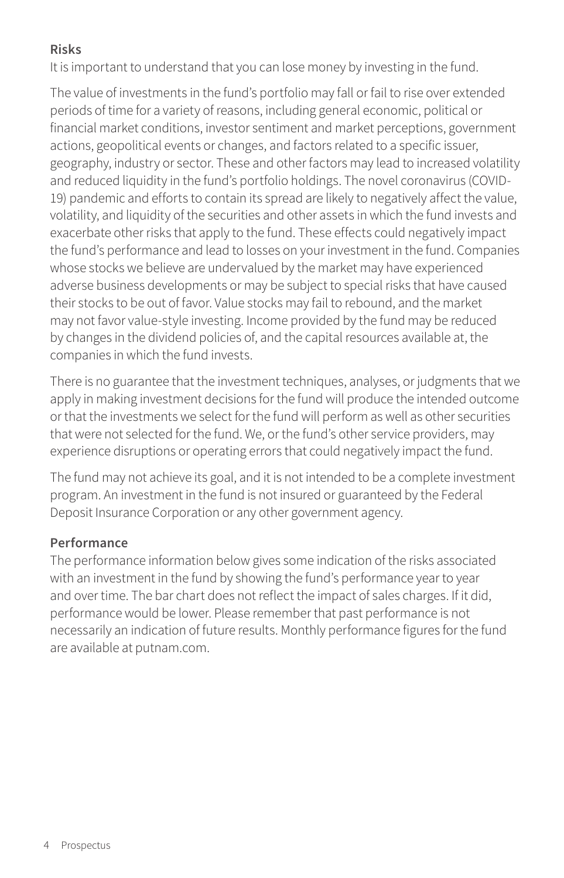#### **Risks**

It is important to understand that you can lose money by investing in the fund.

The value of investments in the fund's portfolio may fall or fail to rise over extended periods of time for a variety of reasons, including general economic, political or financial market conditions, investor sentiment and market perceptions, government actions, geopolitical events or changes, and factors related to a specific issuer, geography, industry or sector. These and other factors may lead to increased volatility and reduced liquidity in the fund's portfolio holdings. The novel coronavirus (COVID-19) pandemic and efforts to contain its spread are likely to negatively affect the value, volatility, and liquidity of the securities and other assets in which the fund invests and exacerbate other risks that apply to the fund. These effects could negatively impact the fund's performance and lead to losses on your investment in the fund. Companies whose stocks we believe are undervalued by the market may have experienced adverse business developments or may be subject to special risks that have caused their stocks to be out of favor. Value stocks may fail to rebound, and the market may not favor value-style investing. Income provided by the fund may be reduced by changes in the dividend policies of, and the capital resources available at, the companies in which the fund invests.

There is no guarantee that the investment techniques, analyses, or judgments that we apply in making investment decisions for the fund will produce the intended outcome or that the investments we select for the fund will perform as well as other securities that were not selected for the fund. We, or the fund's other service providers, may experience disruptions or operating errors that could negatively impact the fund.

The fund may not achieve its goal, and it is not intended to be a complete investment program. An investment in the fund is not insured or guaranteed by the Federal Deposit Insurance Corporation or any other government agency.

#### **Performance**

The performance information below gives some indication of the risks associated with an investment in the fund by showing the fund's performance year to year and over time. The bar chart does not reflect the impact of sales charges. If it did, performance would be lower. Please remember that past performance is not necessarily an indication of future results. Monthly performance figures for the fund are available at [putnam.com.](https://www.putnam.com/individual?ref=SP020.pdf)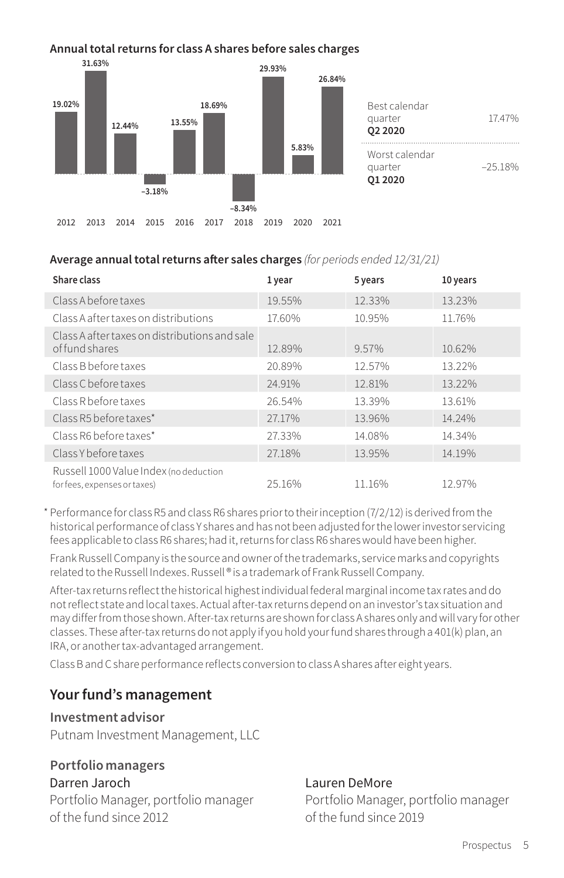



#### **Average annual total returns after sales charges** *(for periods ended 12/31/21)*

| Share class                                                            | 1 year | 5 years | 10 years  |
|------------------------------------------------------------------------|--------|---------|-----------|
| Class A before taxes                                                   | 19.55% | 12.33%  | 13.23%    |
| Class A after taxes on distributions                                   | 17.60% | 10.95%  | 11.76%    |
| Class A after taxes on distributions and sale<br>of fund shares        | 12.89% | 9.57%   | $10.62\%$ |
| Class B before taxes                                                   | 20.89% | 12.57%  | 13.22%    |
| Class C before taxes                                                   | 24.91% | 12.81%  | 13.22%    |
| Class R before taxes                                                   | 26.54% | 13.39%  | 13.61%    |
| Class R5 before taxes*                                                 | 27.17% | 13.96%  | 14.24%    |
| Class R6 before taxes*                                                 | 27.33% | 14.08%  | 14.34%    |
| Class Y before taxes                                                   | 27.18% | 13.95%  | 14.19%    |
| Russell 1000 Value Index (no deduction<br>for fees, expenses or taxes) | 25.16% | 11.16%  | 12.97%    |

\* Performance for class R5 and class R6 shares prior to their inception (7/2/12) is derived from the historical performance of class Y shares and has not been adjusted for the lower investor servicing fees applicable to class R6 shares; had it, returns for class R6 shares would have been higher.

Frank Russell Company is the source and owner of the trademarks, service marks and copyrights related to the Russell Indexes. Russell ® is a trademark of Frank Russell Company.

After-tax returns reflect the historical highest individual federal marginal income tax rates and do not reflect state and local taxes. Actual after-tax returns depend on an investor's tax situation and may differ from those shown. After-tax returns are shown for class A shares only and will vary for other classes. These after-tax returns do not apply if you hold your fund shares through a 401(k) plan, an IRA, or another tax-advantaged arrangement.

Class B and C share performance reflects conversion to class A shares after eight years.

#### **Your fund's management**

#### **Investment advisor**

Putnam Investment Management, LLC

#### **Portfolio managers**

#### Darren Jaroch

Portfolio Manager, portfolio manager of the fund since 2012

#### Lauren DeMore

Portfolio Manager, portfolio manager of the fund since 2019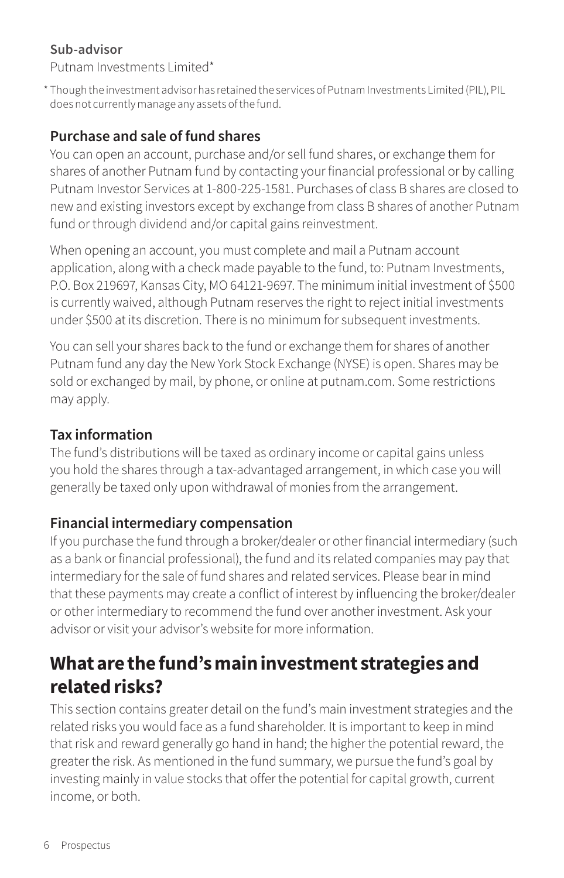#### **Sub-advisor**

Putnam Investments Limited\*

\* Though the investment advisor has retained the services of Putnam Investments Limited (PIL), PIL does not currently manage any assets of the fund.

#### **Purchase and sale of fund shares**

You can open an account, purchase and/or sell fund shares, or exchange them for shares of another Putnam fund by contacting your financial professional or by calling Putnam Investor Services at 1-800-225-1581. Purchases of class B shares are closed to new and existing investors except by exchange from class B shares of another Putnam fund or through dividend and/or capital gains reinvestment.

When opening an account, you must complete and mail a Putnam account application, along with a check made payable to the fund, to: Putnam Investments, P.O. Box 219697, Kansas City, MO 64121-9697. The minimum initial investment of \$500 is currently waived, although Putnam reserves the right to reject initial investments under \$500 at its discretion. There is no minimum for subsequent investments.

You can sell your shares back to the fund or exchange them for shares of another Putnam fund any day the New York Stock Exchange (NYSE) is open. Shares may be sold or exchanged by mail, by phone, or online at [putnam.com.](https://www.putnam.com?ref=SP020.pdf) Some restrictions may apply.

#### **Tax information**

The fund's distributions will be taxed as ordinary income or capital gains unless you hold the shares through a tax-advantaged arrangement, in which case you will generally be taxed only upon withdrawal of monies from the arrangement.

#### **Financial intermediary compensation**

If you purchase the fund through a broker/dealer or other financial intermediary (such as a bank or financial professional), the fund and its related companies may pay that intermediary for the sale of fund shares and related services. Please bear in mind that these payments may create a conflict of interest by influencing the broker/dealer or other intermediary to recommend the fund over another investment. Ask your advisor or visit your advisor's website for more information.

## **What are the fund's main investment strategies and related risks?**

This section contains greater detail on the fund's main investment strategies and the related risks you would face as a fund shareholder. It is important to keep in mind that risk and reward generally go hand in hand; the higher the potential reward, the greater the risk. As mentioned in the fund summary, we pursue the fund's goal by investing mainly in value stocks that offer the potential for capital growth, current income, or both.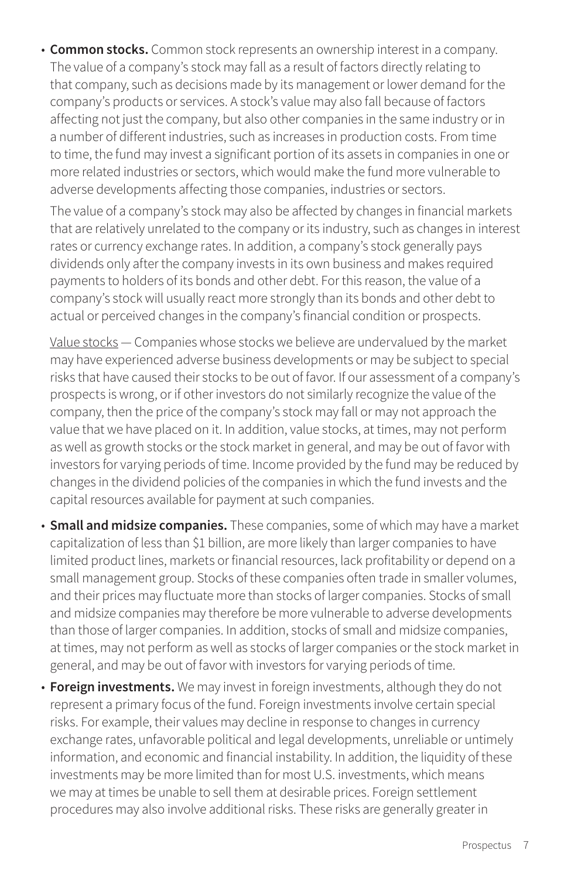• **Common stocks.** Common stock represents an ownership interest in a company. The value of a company's stock may fall as a result of factors directly relating to that company, such as decisions made by its management or lower demand for the company's products or services. A stock's value may also fall because of factors affecting not just the company, but also other companies in the same industry or in a number of different industries, such as increases in production costs. From time to time, the fund may invest a significant portion of its assets in companies in one or more related industries or sectors, which would make the fund more vulnerable to adverse developments affecting those companies, industries or sectors.

The value of a company's stock may also be affected by changes in financial markets that are relatively unrelated to the company or its industry, such as changes in interest rates or currency exchange rates. In addition, a company's stock generally pays dividends only after the company invests in its own business and makes required payments to holders of its bonds and other debt. For this reason, the value of a company's stock will usually react more strongly than its bonds and other debt to actual or perceived changes in the company's financial condition or prospects.

Value stocks — Companies whose stocks we believe are undervalued by the market may have experienced adverse business developments or may be subject to special risks that have caused their stocks to be out of favor. If our assessment of a company's prospects is wrong, or if other investors do not similarly recognize the value of the company, then the price of the company's stock may fall or may not approach the value that we have placed on it. In addition, value stocks, at times, may not perform as well as growth stocks or the stock market in general, and may be out of favor with investors for varying periods of time. Income provided by the fund may be reduced by changes in the dividend policies of the companies in which the fund invests and the capital resources available for payment at such companies.

- **Small and midsize companies.** These companies, some of which may have a market capitalization of less than \$1 billion, are more likely than larger companies to have limited product lines, markets or financial resources, lack profitability or depend on a small management group. Stocks of these companies often trade in smaller volumes, and their prices may fluctuate more than stocks of larger companies. Stocks of small and midsize companies may therefore be more vulnerable to adverse developments than those of larger companies. In addition, stocks of small and midsize companies, at times, may not perform as well as stocks of larger companies or the stock market in general, and may be out of favor with investors for varying periods of time.
- **Foreign investments.** We may invest in foreign investments, although they do not represent a primary focus of the fund. Foreign investments involve certain special risks. For example, their values may decline in response to changes in currency exchange rates, unfavorable political and legal developments, unreliable or untimely information, and economic and financial instability. In addition, the liquidity of these investments may be more limited than for most U.S. investments, which means we may at times be unable to sell them at desirable prices. Foreign settlement procedures may also involve additional risks. These risks are generally greater in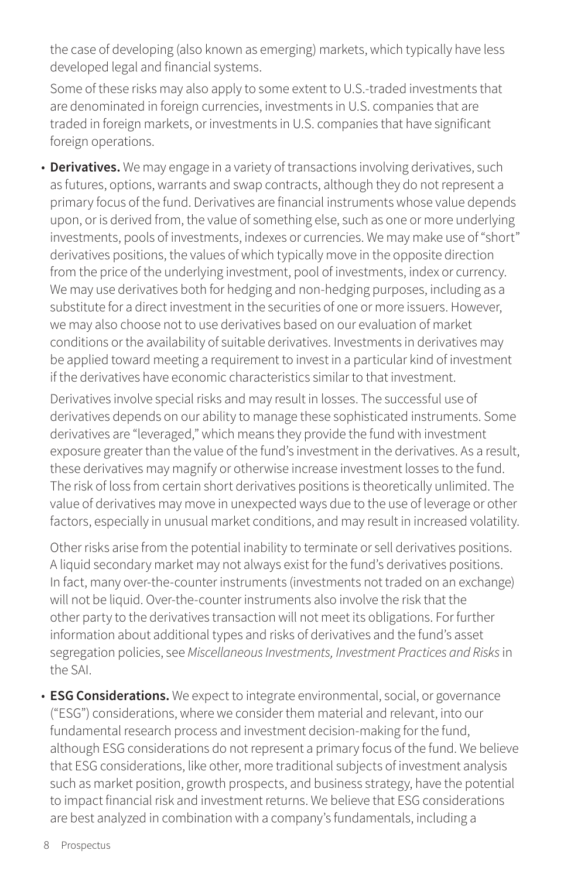the case of developing (also known as emerging) markets, which typically have less developed legal and financial systems.

Some of these risks may also apply to some extent to U.S.-traded investments that are denominated in foreign currencies, investments in U.S. companies that are traded in foreign markets, or investments in U.S. companies that have significant foreign operations.

• **Derivatives.** We may engage in a variety of transactions involving derivatives, such as futures, options, warrants and swap contracts, although they do not represent a primary focus of the fund. Derivatives are financial instruments whose value depends upon, or is derived from, the value of something else, such as one or more underlying investments, pools of investments, indexes or currencies. We may make use of "short" derivatives positions, the values of which typically move in the opposite direction from the price of the underlying investment, pool of investments, index or currency. We may use derivatives both for hedging and non-hedging purposes, including as a substitute for a direct investment in the securities of one or more issuers. However, we may also choose not to use derivatives based on our evaluation of market conditions or the availability of suitable derivatives. Investments in derivatives may be applied toward meeting a requirement to invest in a particular kind of investment if the derivatives have economic characteristics similar to that investment.

Derivatives involve special risks and may result in losses. The successful use of derivatives depends on our ability to manage these sophisticated instruments. Some derivatives are "leveraged," which means they provide the fund with investment exposure greater than the value of the fund's investment in the derivatives. As a result, these derivatives may magnify or otherwise increase investment losses to the fund. The risk of loss from certain short derivatives positions is theoretically unlimited. The value of derivatives may move in unexpected ways due to the use of leverage or other factors, especially in unusual market conditions, and may result in increased volatility.

Other risks arise from the potential inability to terminate or sell derivatives positions. A liquid secondary market may not always exist for the fund's derivatives positions. In fact, many over-the-counter instruments (investments not traded on an exchange) will not be liquid. Over-the-counter instruments also involve the risk that the other party to the derivatives transaction will not meet its obligations. For further information about additional types and risks of derivatives and the fund's asset segregation policies, see *Miscellaneous Investments, Investment Practices and Risks* in the SAI.

• **ESG Considerations.** We expect to integrate environmental, social, or governance ("ESG") considerations, where we consider them material and relevant, into our fundamental research process and investment decision-making for the fund, although ESG considerations do not represent a primary focus of the fund. We believe that ESG considerations, like other, more traditional subjects of investment analysis such as market position, growth prospects, and business strategy, have the potential to impact financial risk and investment returns. We believe that ESG considerations are best analyzed in combination with a company's fundamentals, including a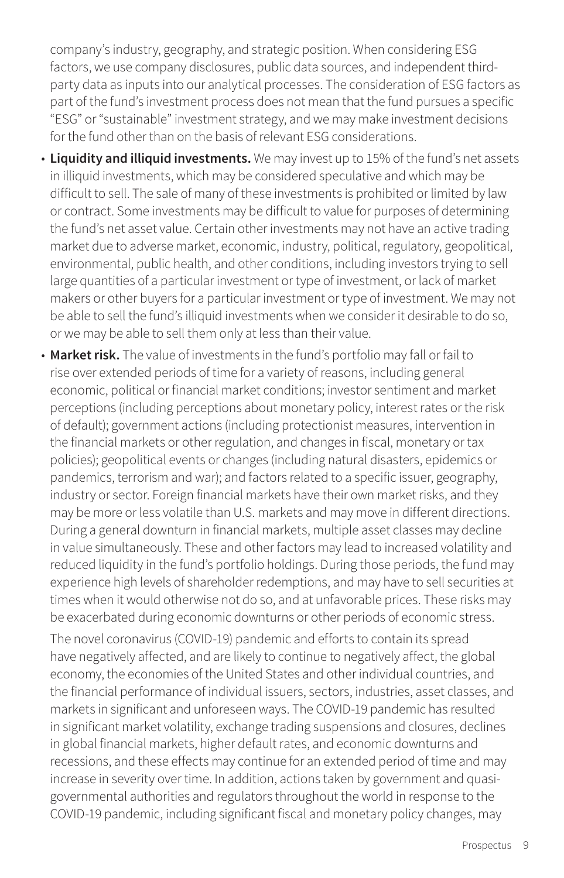company's industry, geography, and strategic position. When considering ESG factors, we use company disclosures, public data sources, and independent thirdparty data as inputs into our analytical processes. The consideration of ESG factors as part of the fund's investment process does not mean that the fund pursues a specific "ESG" or "sustainable" investment strategy, and we may make investment decisions for the fund other than on the basis of relevant ESG considerations.

- **Liquidity and illiquid investments.** We may invest up to 15% of the fund's net assets in illiquid investments, which may be considered speculative and which may be difficult to sell. The sale of many of these investments is prohibited or limited by law or contract. Some investments may be difficult to value for purposes of determining the fund's net asset value. Certain other investments may not have an active trading market due to adverse market, economic, industry, political, regulatory, geopolitical, environmental, public health, and other conditions, including investors trying to sell large quantities of a particular investment or type of investment, or lack of market makers or other buyers for a particular investment or type of investment. We may not be able to sell the fund's illiquid investments when we consider it desirable to do so, or we may be able to sell them only at less than their value.
- **Market risk.** The value of investments in the fund's portfolio may fall or fail to rise over extended periods of time for a variety of reasons, including general economic, political or financial market conditions; investor sentiment and market perceptions (including perceptions about monetary policy, interest rates or the risk of default); government actions (including protectionist measures, intervention in the financial markets or other regulation, and changes in fiscal, monetary or tax policies); geopolitical events or changes (including natural disasters, epidemics or pandemics, terrorism and war); and factors related to a specific issuer, geography, industry or sector. Foreign financial markets have their own market risks, and they may be more or less volatile than U.S. markets and may move in different directions. During a general downturn in financial markets, multiple asset classes may decline in value simultaneously. These and other factors may lead to increased volatility and reduced liquidity in the fund's portfolio holdings. During those periods, the fund may experience high levels of shareholder redemptions, and may have to sell securities at times when it would otherwise not do so, and at unfavorable prices. These risks may be exacerbated during economic downturns or other periods of economic stress.

The novel coronavirus (COVID-19) pandemic and efforts to contain its spread have negatively affected, and are likely to continue to negatively affect, the global economy, the economies of the United States and other individual countries, and the financial performance of individual issuers, sectors, industries, asset classes, and markets in significant and unforeseen ways. The COVID-19 pandemic has resulted in significant market volatility, exchange trading suspensions and closures, declines in global financial markets, higher default rates, and economic downturns and recessions, and these effects may continue for an extended period of time and may increase in severity over time. In addition, actions taken by government and quasigovernmental authorities and regulators throughout the world in response to the COVID-19 pandemic, including significant fiscal and monetary policy changes, may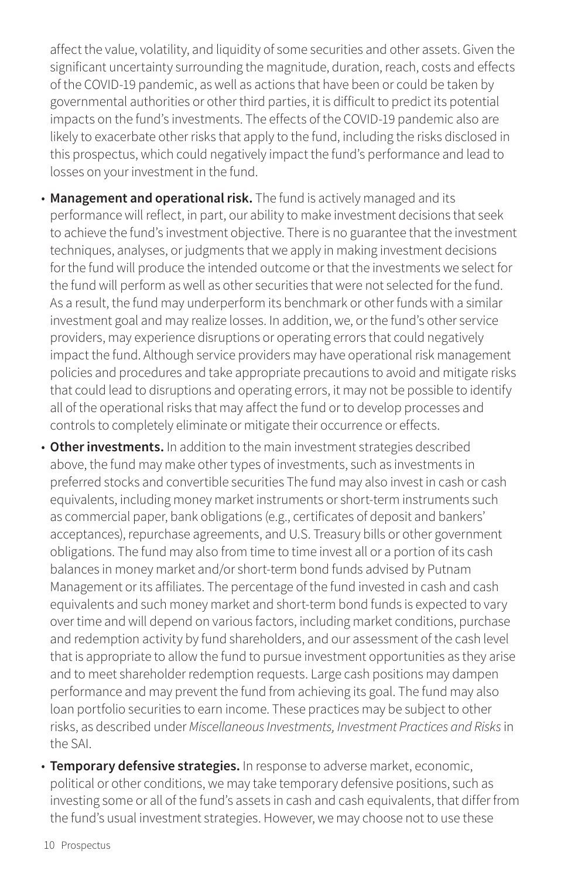affect the value, volatility, and liquidity of some securities and other assets. Given the significant uncertainty surrounding the magnitude, duration, reach, costs and effects of the COVID-19 pandemic, as well as actions that have been or could be taken by governmental authorities or other third parties, it is difficult to predict its potential impacts on the fund's investments. The effects of the COVID-19 pandemic also are likely to exacerbate other risks that apply to the fund, including the risks disclosed in this prospectus, which could negatively impact the fund's performance and lead to losses on your investment in the fund.

- **Management and operational risk.** The fund is actively managed and its performance will reflect, in part, our ability to make investment decisions that seek to achieve the fund's investment objective. There is no guarantee that the investment techniques, analyses, or judgments that we apply in making investment decisions for the fund will produce the intended outcome or that the investments we select for the fund will perform as well as other securities that were not selected for the fund. As a result, the fund may underperform its benchmark or other funds with a similar investment goal and may realize losses. In addition, we, or the fund's other service providers, may experience disruptions or operating errors that could negatively impact the fund. Although service providers may have operational risk management policies and procedures and take appropriate precautions to avoid and mitigate risks that could lead to disruptions and operating errors, it may not be possible to identify all of the operational risks that may affect the fund or to develop processes and controls to completely eliminate or mitigate their occurrence or effects.
- **Other investments.** In addition to the main investment strategies described above, the fund may make other types of investments, such as investments in preferred stocks and convertible securities The fund may also invest in cash or cash equivalents, including money market instruments or short-term instruments such as commercial paper, bank obligations (e.g., certificates of deposit and bankers' acceptances), repurchase agreements, and U.S. Treasury bills or other government obligations. The fund may also from time to time invest all or a portion of its cash balances in money market and/or short-term bond funds advised by Putnam Management or its affiliates. The percentage of the fund invested in cash and cash equivalents and such money market and short-term bond funds is expected to vary over time and will depend on various factors, including market conditions, purchase and redemption activity by fund shareholders, and our assessment of the cash level that is appropriate to allow the fund to pursue investment opportunities as they arise and to meet shareholder redemption requests. Large cash positions may dampen performance and may prevent the fund from achieving its goal. The fund may also loan portfolio securities to earn income. These practices may be subject to other risks, as described under *Miscellaneous Investments, Investment Practices and Risks* in the SAI.
- **Temporary defensive strategies.** In response to adverse market, economic, political or other conditions, we may take temporary defensive positions, such as investing some or all of the fund's assets in cash and cash equivalents, that differ from the fund's usual investment strategies. However, we may choose not to use these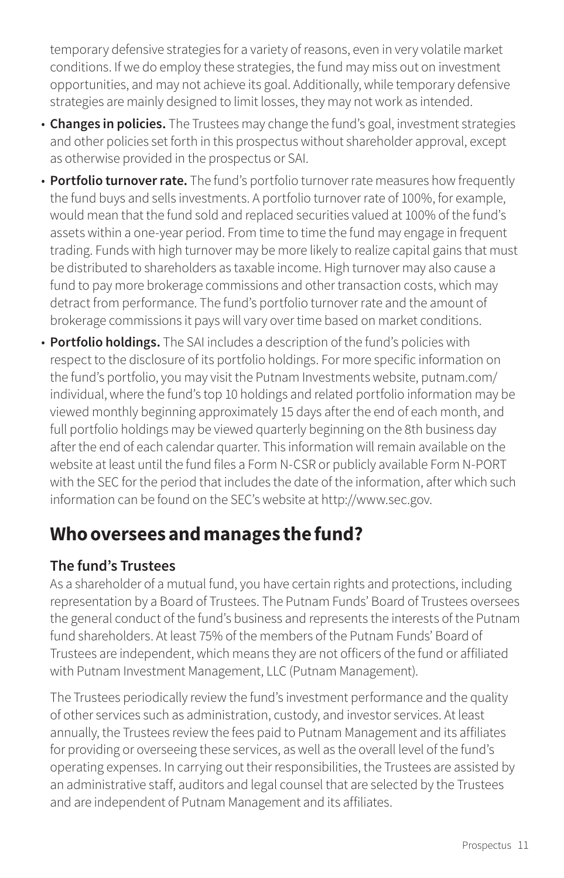temporary defensive strategies for a variety of reasons, even in very volatile market conditions. If we do employ these strategies, the fund may miss out on investment opportunities, and may not achieve its goal. Additionally, while temporary defensive strategies are mainly designed to limit losses, they may not work as intended.

- **Changes in policies.** The Trustees may change the fund's goal, investment strategies and other policies set forth in this prospectus without shareholder approval, except as otherwise provided in the prospectus or SAI.
- **Portfolio turnover rate.** The fund's portfolio turnover rate measures how frequently the fund buys and sells investments. A portfolio turnover rate of 100%, for example, would mean that the fund sold and replaced securities valued at 100% of the fund's assets within a one-year period. From time to time the fund may engage in frequent trading. Funds with high turnover may be more likely to realize capital gains that must be distributed to shareholders as taxable income. High turnover may also cause a fund to pay more brokerage commissions and other transaction costs, which may detract from performance. The fund's portfolio turnover rate and the amount of brokerage commissions it pays will vary over time based on market conditions.
- **Portfolio holdings.** The SAI includes a description of the fund's policies with respect to the disclosure of its portfolio holdings. For more specific information on the fund's portfolio, you may visit the Putnam Investments website, [putnam.com/](https://www.putnam.com/individual?ref=SP020.pdf) [individual,](https://www.putnam.com/individual?ref=SP020.pdf) where the fund's top 10 holdings and related portfolio information may be viewed monthly beginning approximately 15 days after the end of each month, and full portfolio holdings may be viewed quarterly beginning on the 8th business day after the end of each calendar quarter. This information will remain available on the website at least until the fund files a Form N-CSR or publicly available Form N-PORT with the SEC for the period that includes the date of the information, after which such information can be found on the SEC's website at http://www.sec.gov.

## **Who oversees and manages the fund?**

### **The fund's Trustees**

As a shareholder of a mutual fund, you have certain rights and protections, including representation by a Board of Trustees. The Putnam Funds' Board of Trustees oversees the general conduct of the fund's business and represents the interests of the Putnam fund shareholders. At least 75% of the members of the Putnam Funds' Board of Trustees are independent, which means they are not officers of the fund or affiliated with Putnam Investment Management, LLC (Putnam Management).

The Trustees periodically review the fund's investment performance and the quality of other services such as administration, custody, and investor services. At least annually, the Trustees review the fees paid to Putnam Management and its affiliates for providing or overseeing these services, as well as the overall level of the fund's operating expenses. In carrying out their responsibilities, the Trustees are assisted by an administrative staff, auditors and legal counsel that are selected by the Trustees and are independent of Putnam Management and its affiliates.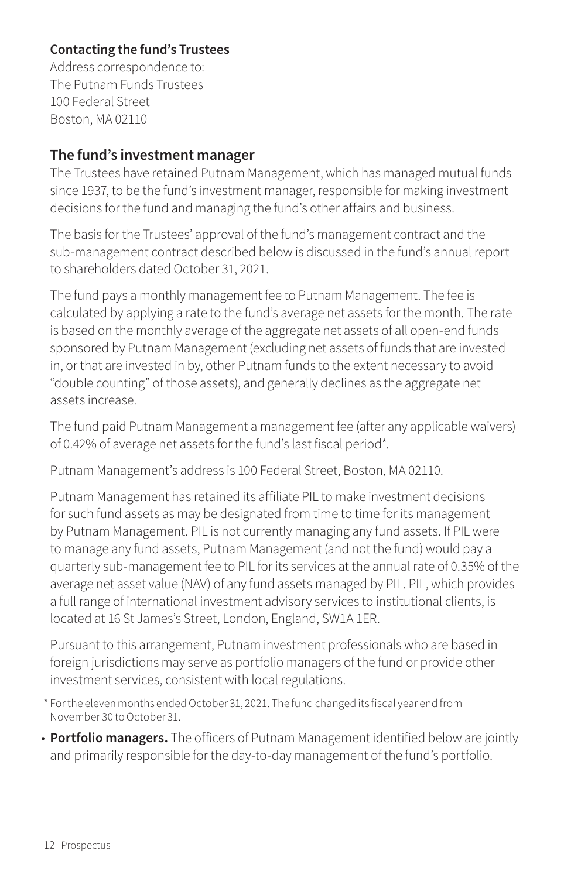#### **Contacting the fund's Trustees**

Address correspondence to: The Putnam Funds Trustees 100 Federal Street Boston, MA 02110

#### **The fund's investment manager**

The Trustees have retained Putnam Management, which has managed mutual funds since 1937, to be the fund's investment manager, responsible for making investment decisions for the fund and managing the fund's other affairs and business.

The basis for the Trustees' approval of the fund's management contract and the sub-management contract described below is discussed in the fund's annual report to shareholders dated October 31, 2021.

The fund pays a monthly management fee to Putnam Management. The fee is calculated by applying a rate to the fund's average net assets for the month. The rate is based on the monthly average of the aggregate net assets of all open-end funds sponsored by Putnam Management (excluding net assets of funds that are invested in, or that are invested in by, other Putnam funds to the extent necessary to avoid "double counting" of those assets), and generally declines as the aggregate net assets increase.

The fund paid Putnam Management a management fee (after any applicable waivers) of 0.42% of average net assets for the fund's last fiscal period\*.

Putnam Management's address is 100 Federal Street, Boston, MA 02110.

Putnam Management has retained its affiliate PIL to make investment decisions for such fund assets as may be designated from time to time for its management by Putnam Management. PIL is not currently managing any fund assets. If PIL were to manage any fund assets, Putnam Management (and not the fund) would pay a quarterly sub-management fee to PIL for its services at the annual rate of 0.35% of the average net asset value (NAV) of any fund assets managed by PIL. PIL, which provides a full range of international investment advisory services to institutional clients, is located at 16 St James's Street, London, England, SW1A 1ER.

Pursuant to this arrangement, Putnam investment professionals who are based in foreign jurisdictions may serve as portfolio managers of the fund or provide other investment services, consistent with local regulations.

- \* For the eleven months ended October 31, 2021. The fund changed its fiscal year end from November 30 to October 31.
- **Portfolio managers.** The officers of Putnam Management identified below are jointly and primarily responsible for the day-to-day management of the fund's portfolio.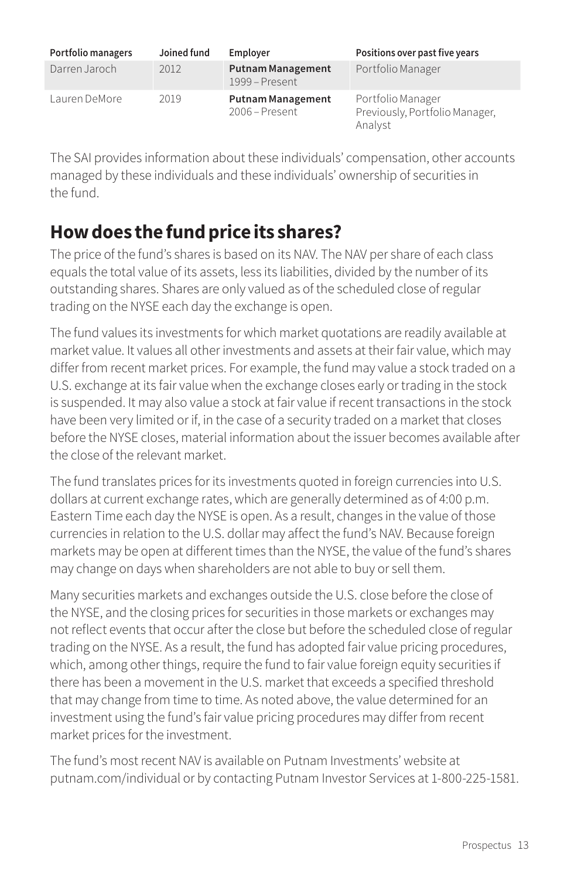| Portfolio managers | Joined fund | Employer                                   | Positions over past five years                                 |
|--------------------|-------------|--------------------------------------------|----------------------------------------------------------------|
| Darren Jaroch      | 2012        | <b>Putnam Management</b><br>1999 – Present | Portfolio Manager                                              |
| Lauren DeMore      | 2019        | <b>Putnam Management</b><br>2006 - Present | Portfolio Manager<br>Previously, Portfolio Manager,<br>Analyst |

The SAI provides information about these individuals' compensation, other accounts managed by these individuals and these individuals' ownership of securities in the fund.

## **How does the fund price its shares?**

The price of the fund's shares is based on its NAV. The NAV per share of each class equals the total value of its assets, less its liabilities, divided by the number of its outstanding shares. Shares are only valued as of the scheduled close of regular trading on the NYSE each day the exchange is open.

The fund values its investments for which market quotations are readily available at market value. It values all other investments and assets at their fair value, which may differ from recent market prices. For example, the fund may value a stock traded on a U.S. exchange at its fair value when the exchange closes early or trading in the stock is suspended. It may also value a stock at fair value if recent transactions in the stock have been very limited or if, in the case of a security traded on a market that closes before the NYSE closes, material information about the issuer becomes available after the close of the relevant market.

The fund translates prices for its investments quoted in foreign currencies into U.S. dollars at current exchange rates, which are generally determined as of 4:00 p.m. Eastern Time each day the NYSE is open. As a result, changes in the value of those currencies in relation to the U.S. dollar may affect the fund's NAV. Because foreign markets may be open at different times than the NYSE, the value of the fund's shares may change on days when shareholders are not able to buy or sell them.

Many securities markets and exchanges outside the U.S. close before the close of the NYSE, and the closing prices for securities in those markets or exchanges may not reflect events that occur after the close but before the scheduled close of regular trading on the NYSE. As a result, the fund has adopted fair value pricing procedures, which, among other things, require the fund to fair value foreign equity securities if there has been a movement in the U.S. market that exceeds a specified threshold that may change from time to time. As noted above, the value determined for an investment using the fund's fair value pricing procedures may differ from recent market prices for the investment.

The fund's most recent NAV is available on Putnam Investments' website at [putnam.com/individual](https://www.putnam.com/individual?ref=SP020.pdf) or by contacting Putnam Investor Services at 1-800-225-1581.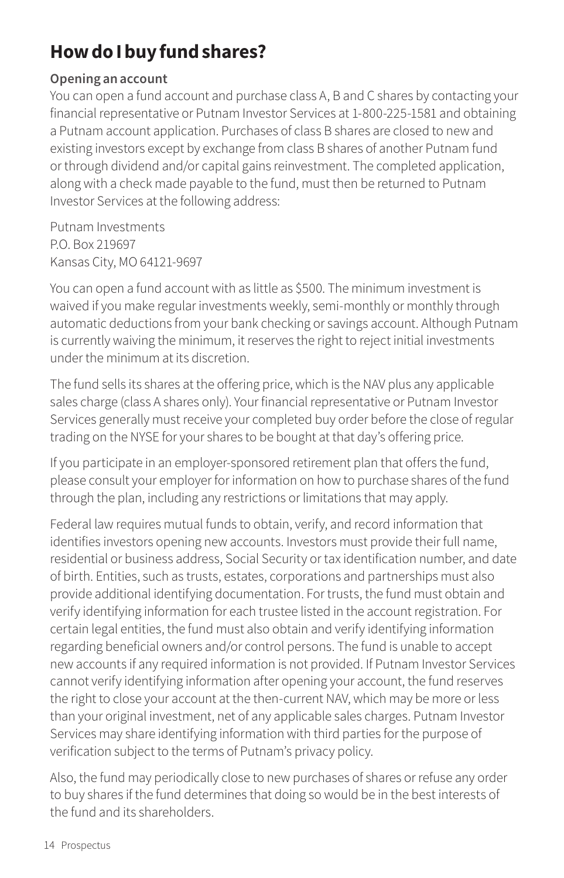## **How do I buy fund shares?**

#### **Opening an account**

You can open a fund account and purchase class A, B and C shares by contacting your financial representative or Putnam Investor Services at 1-800-225-1581 and obtaining a Putnam account application. Purchases of class B shares are closed to new and existing investors except by exchange from class B shares of another Putnam fund or through dividend and/or capital gains reinvestment. The completed application, along with a check made payable to the fund, must then be returned to Putnam Investor Services at the following address:

Putnam Investments P.O. Box 219697 Kansas City, MO 64121-9697

You can open a fund account with as little as \$500. The minimum investment is waived if you make regular investments weekly, semi-monthly or monthly through automatic deductions from your bank checking or savings account. Although Putnam is currently waiving the minimum, it reserves the right to reject initial investments under the minimum at its discretion.

The fund sells its shares at the offering price, which is the NAV plus any applicable sales charge (class A shares only). Your financial representative or Putnam Investor Services generally must receive your completed buy order before the close of regular trading on the NYSE for your shares to be bought at that day's offering price.

If you participate in an employer-sponsored retirement plan that offers the fund, please consult your employer for information on how to purchase shares of the fund through the plan, including any restrictions or limitations that may apply.

Federal law requires mutual funds to obtain, verify, and record information that identifies investors opening new accounts. Investors must provide their full name, residential or business address, Social Security or tax identification number, and date of birth. Entities, such as trusts, estates, corporations and partnerships must also provide additional identifying documentation. For trusts, the fund must obtain and verify identifying information for each trustee listed in the account registration. For certain legal entities, the fund must also obtain and verify identifying information regarding beneficial owners and/or control persons. The fund is unable to accept new accounts if any required information is not provided. If Putnam Investor Services cannot verify identifying information after opening your account, the fund reserves the right to close your account at the then-current NAV, which may be more or less than your original investment, net of any applicable sales charges. Putnam Investor Services may share identifying information with third parties for the purpose of verification subject to the terms of Putnam's privacy policy.

Also, the fund may periodically close to new purchases of shares or refuse any order to buy shares if the fund determines that doing so would be in the best interests of the fund and its shareholders.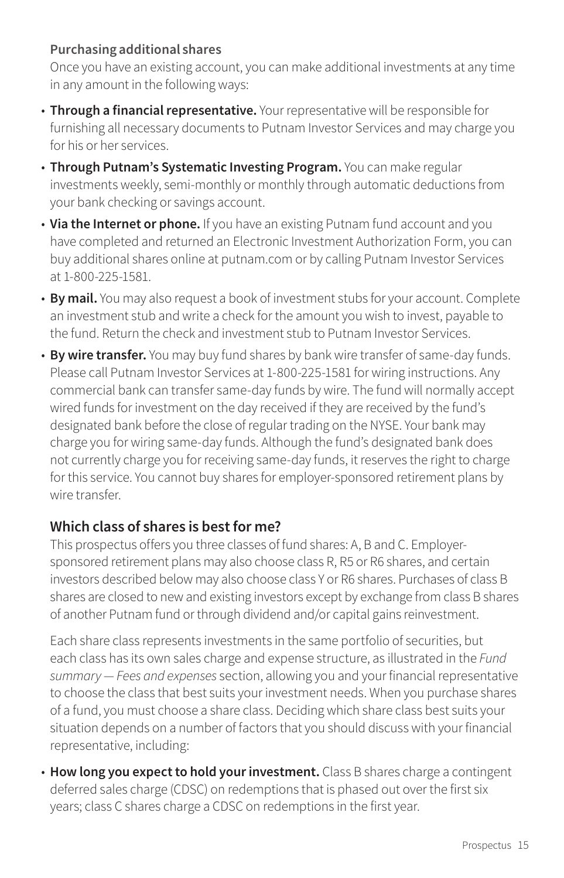#### **Purchasing additional shares**

Once you have an existing account, you can make additional investments at any time in any amount in the following ways:

- **Through a financial representative.** Your representative will be responsible for furnishing all necessary documents to Putnam Investor Services and may charge you for his or her services.
- **Through Putnam's Systematic Investing Program.** You can make regular investments weekly, semi-monthly or monthly through automatic deductions from your bank checking or savings account.
- **Via the Internet or phone.** If you have an existing Putnam fund account and you have completed and returned an Electronic Investment Authorization Form, you can buy additional shares online at [putnam.com](https://www.putnam.com/?ref=SP020.pdf) or by calling Putnam Investor Services at 1-800-225-1581.
- **By mail.** You may also request a book of investment stubs for your account. Complete an investment stub and write a check for the amount you wish to invest, payable to the fund. Return the check and investment stub to Putnam Investor Services.
- **By wire transfer.** You may buy fund shares by bank wire transfer of same-day funds. Please call Putnam Investor Services at 1-800-225-1581 for wiring instructions. Any commercial bank can transfer same-day funds by wire. The fund will normally accept wired funds for investment on the day received if they are received by the fund's designated bank before the close of regular trading on the NYSE. Your bank may charge you for wiring same-day funds. Although the fund's designated bank does not currently charge you for receiving same-day funds, it reserves the right to charge for this service. You cannot buy shares for employer-sponsored retirement plans by wire transfer.

### **Which class of shares is best for me?**

This prospectus offers you three classes of fund shares: A, B and C. Employersponsored retirement plans may also choose class R, R5 or R6 shares, and certain investors described below may also choose class Y or R6 shares. Purchases of class B shares are closed to new and existing investors except by exchange from class B shares of another Putnam fund or through dividend and/or capital gains reinvestment.

Each share class represents investments in the same portfolio of securities, but each class has its own sales charge and expense structure, as illustrated in the *Fund summary — Fees and expenses* section, allowing you and your financial representative to choose the class that best suits your investment needs. When you purchase shares of a fund, you must choose a share class. Deciding which share class best suits your situation depends on a number of factors that you should discuss with your financial representative, including:

• **How long you expect to hold your investment.** Class B shares charge a contingent deferred sales charge (CDSC) on redemptions that is phased out over the first six years; class C shares charge a CDSC on redemptions in the first year.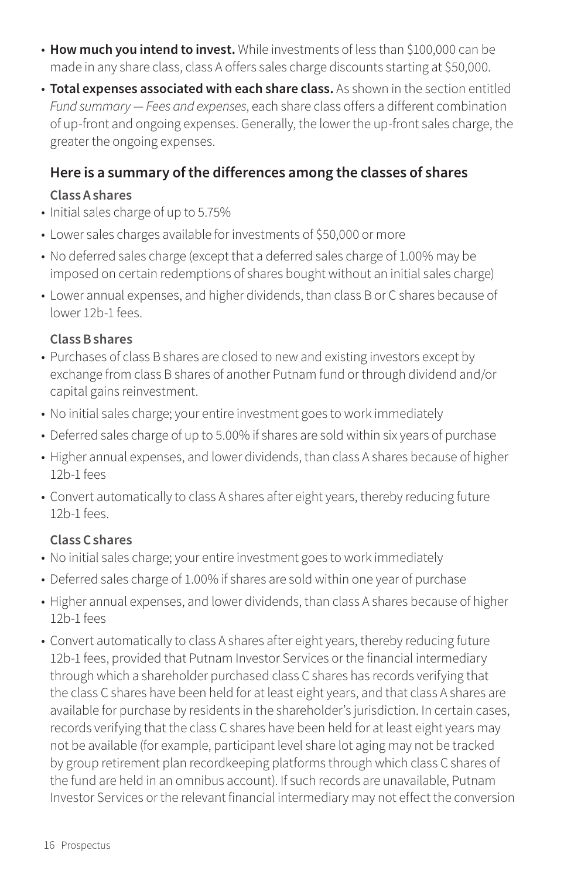- **How much you intend to invest.** While investments of less than \$100,000 can be made in any share class, class A offers sales charge discounts starting at \$50,000.
- **Total expenses associated with each share class.** As shown in the section entitled *Fund summary — Fees and expenses*, each share class offers a different combination of up-front and ongoing expenses. Generally, the lower the up-front sales charge, the greater the ongoing expenses.

#### **Here is a summary of the differences among the classes of shares**

#### **Class A shares**

- Initial sales charge of up to 5.75%
- Lower sales charges available for investments of \$50,000 or more
- No deferred sales charge (except that a deferred sales charge of 1.00% may be imposed on certain redemptions of shares bought without an initial sales charge)
- Lower annual expenses, and higher dividends, than class B or C shares because of lower 12b-1 fees.

#### **Class B shares**

- Purchases of class B shares are closed to new and existing investors except by exchange from class B shares of another Putnam fund or through dividend and/or capital gains reinvestment.
- No initial sales charge; your entire investment goes to work immediately
- Deferred sales charge of up to 5.00% if shares are sold within six years of purchase
- Higher annual expenses, and lower dividends, than class A shares because of higher 12b-1 fees
- Convert automatically to class A shares after eight years, thereby reducing future 12b-1 fees.

#### **Class C shares**

- No initial sales charge; your entire investment goes to work immediately
- Deferred sales charge of 1.00% if shares are sold within one year of purchase
- Higher annual expenses, and lower dividends, than class A shares because of higher 12b-1 fees
- Convert automatically to class A shares after eight years, thereby reducing future 12b-1 fees, provided that Putnam Investor Services or the financial intermediary through which a shareholder purchased class C shares has records verifying that the class C shares have been held for at least eight years, and that class A shares are available for purchase by residents in the shareholder's jurisdiction. In certain cases, records verifying that the class C shares have been held for at least eight years may not be available (for example, participant level share lot aging may not be tracked by group retirement plan recordkeeping platforms through which class C shares of the fund are held in an omnibus account). If such records are unavailable, Putnam Investor Services or the relevant financial intermediary may not effect the conversion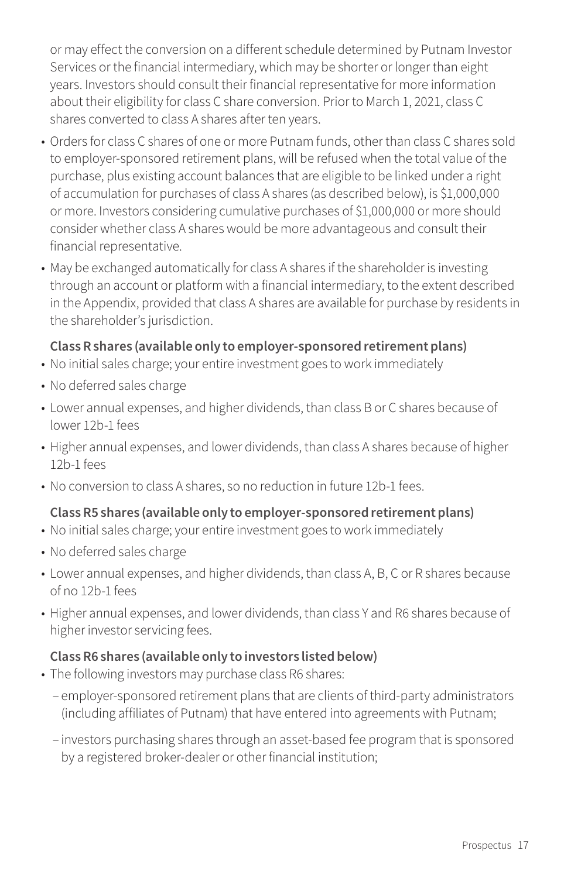or may effect the conversion on a different schedule determined by Putnam Investor Services or the financial intermediary, which may be shorter or longer than eight years. Investors should consult their financial representative for more information about their eligibility for class C share conversion. Prior to March 1, 2021, class C shares converted to class A shares after ten years.

- Orders for class C shares of one or more Putnam funds, other than class C shares sold to employer-sponsored retirement plans, will be refused when the total value of the purchase, plus existing account balances that are eligible to be linked under a right of accumulation for purchases of class A shares (as described below), is \$1,000,000 or more. Investors considering cumulative purchases of \$1,000,000 or more should consider whether class A shares would be more advantageous and consult their financial representative.
- May be exchanged automatically for class A shares if the shareholder is investing through an account or platform with a financial intermediary, to the extent described in the Appendix, provided that class A shares are available for purchase by residents in the shareholder's jurisdiction.

#### **Class R shares (available only to employer-sponsored retirement plans)**

- No initial sales charge; your entire investment goes to work immediately
- No deferred sales charge
- Lower annual expenses, and higher dividends, than class B or C shares because of lower 12b-1 fees
- Higher annual expenses, and lower dividends, than class A shares because of higher 12b-1 fees
- No conversion to class A shares, so no reduction in future 12b-1 fees.

#### **Class R5 shares (available only to employer-sponsored retirement plans)**

- No initial sales charge; your entire investment goes to work immediately
- No deferred sales charge
- Lower annual expenses, and higher dividends, than class A, B, C or R shares because of no 12b-1 fees
- Higher annual expenses, and lower dividends, than class Y and R6 shares because of higher investor servicing fees.

#### **Class R6 shares (available only to investors listed below)**

- The following investors may purchase class R6 shares:
	- employer-sponsored retirement plans that are clients of third-party administrators (including affiliates of Putnam) that have entered into agreements with Putnam;
	- investors purchasing shares through an asset-based fee program that is sponsored by a registered broker-dealer or other financial institution;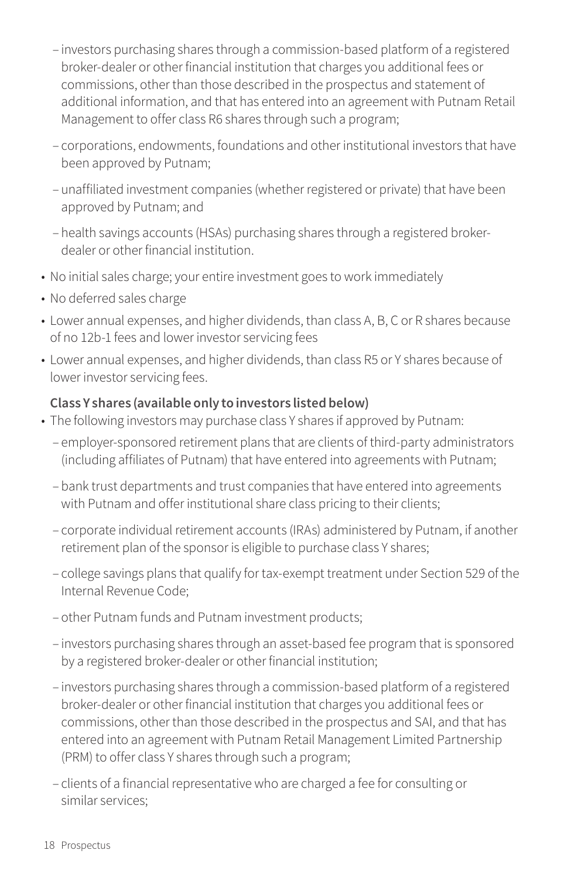- investors purchasing shares through a commission-based platform of a registered broker-dealer or other financial institution that charges you additional fees or commissions, other than those described in the prospectus and statement of additional information, and that has entered into an agreement with Putnam Retail Management to offer class R6 shares through such a program;
- corporations, endowments, foundations and other institutional investors that have been approved by Putnam;
- unaffiliated investment companies (whether registered or private) that have been approved by Putnam; and
- health savings accounts (HSAs) purchasing shares through a registered brokerdealer or other financial institution.
- No initial sales charge; your entire investment goes to work immediately
- No deferred sales charge
- Lower annual expenses, and higher dividends, than class A, B, C or R shares because of no 12b-1 fees and lower investor servicing fees
- Lower annual expenses, and higher dividends, than class R5 or Y shares because of lower investor servicing fees.

#### **Class Y shares (available only to investors listed below)**

- The following investors may purchase class Y shares if approved by Putnam:
	- employer-sponsored retirement plans that are clients of third-party administrators (including affiliates of Putnam) that have entered into agreements with Putnam;
	- bank trust departments and trust companies that have entered into agreements with Putnam and offer institutional share class pricing to their clients;
	- corporate individual retirement accounts (IRAs) administered by Putnam, if another retirement plan of the sponsor is eligible to purchase class Y shares;
	- college savings plans that qualify for tax-exempt treatment under Section 529 of the Internal Revenue Code;
	- other Putnam funds and Putnam investment products;
	- investors purchasing shares through an asset-based fee program that is sponsored by a registered broker-dealer or other financial institution;
	- investors purchasing shares through a commission-based platform of a registered broker-dealer or other financial institution that charges you additional fees or commissions, other than those described in the prospectus and SAI, and that has entered into an agreement with Putnam Retail Management Limited Partnership (PRM) to offer class Y shares through such a program;
	- clients of a financial representative who are charged a fee for consulting or similar services;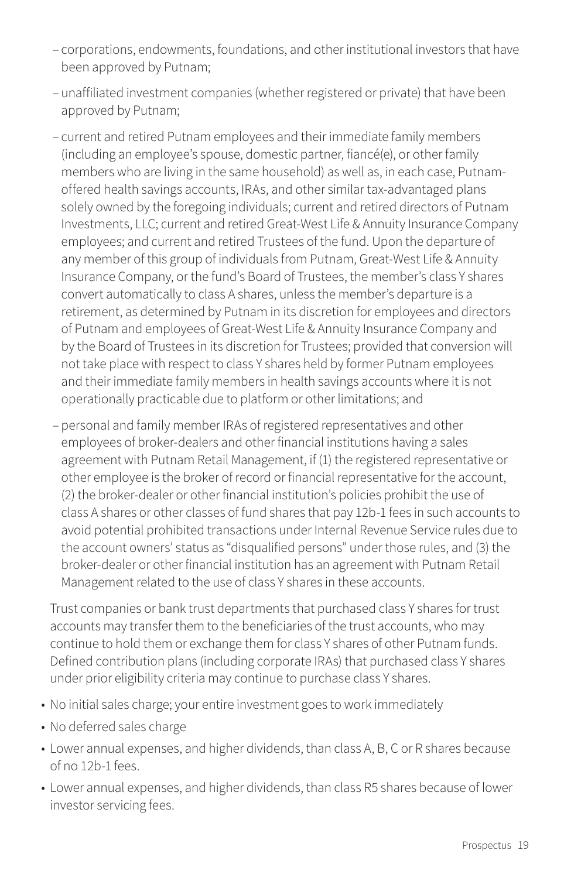- corporations, endowments, foundations, and other institutional investors that have been approved by Putnam;
- unaffiliated investment companies (whether registered or private) that have been approved by Putnam;
- current and retired Putnam employees and their immediate family members (including an employee's spouse, domestic partner, fiancé(e), or other family members who are living in the same household) as well as, in each case, Putnamoffered health savings accounts, IRAs, and other similar tax-advantaged plans solely owned by the foregoing individuals; current and retired directors of Putnam Investments, LLC; current and retired Great-West Life & Annuity Insurance Company employees; and current and retired Trustees of the fund. Upon the departure of any member of this group of individuals from Putnam, Great-West Life & Annuity Insurance Company, or the fund's Board of Trustees, the member's class Y shares convert automatically to class A shares, unless the member's departure is a retirement, as determined by Putnam in its discretion for employees and directors of Putnam and employees of Great-West Life & Annuity Insurance Company and by the Board of Trustees in its discretion for Trustees; provided that conversion will not take place with respect to class Y shares held by former Putnam employees and their immediate family members in health savings accounts where it is not operationally practicable due to platform or other limitations; and
- personal and family member IRAs of registered representatives and other employees of broker-dealers and other financial institutions having a sales agreement with Putnam Retail Management, if (1) the registered representative or other employee is the broker of record or financial representative for the account, (2) the broker-dealer or other financial institution's policies prohibit the use of class A shares or other classes of fund shares that pay 12b-1 fees in such accounts to avoid potential prohibited transactions under Internal Revenue Service rules due to the account owners' status as "disqualified persons" under those rules, and (3) the broker-dealer or other financial institution has an agreement with Putnam Retail Management related to the use of class Y shares in these accounts.

Trust companies or bank trust departments that purchased class Y shares for trust accounts may transfer them to the beneficiaries of the trust accounts, who may continue to hold them or exchange them for class Y shares of other Putnam funds. Defined contribution plans (including corporate IRAs) that purchased class Y shares under prior eligibility criteria may continue to purchase class Y shares.

- No initial sales charge; your entire investment goes to work immediately
- No deferred sales charge
- Lower annual expenses, and higher dividends, than class A, B, C or R shares because of no 12b-1 fees.
- Lower annual expenses, and higher dividends, than class R5 shares because of lower investor servicing fees.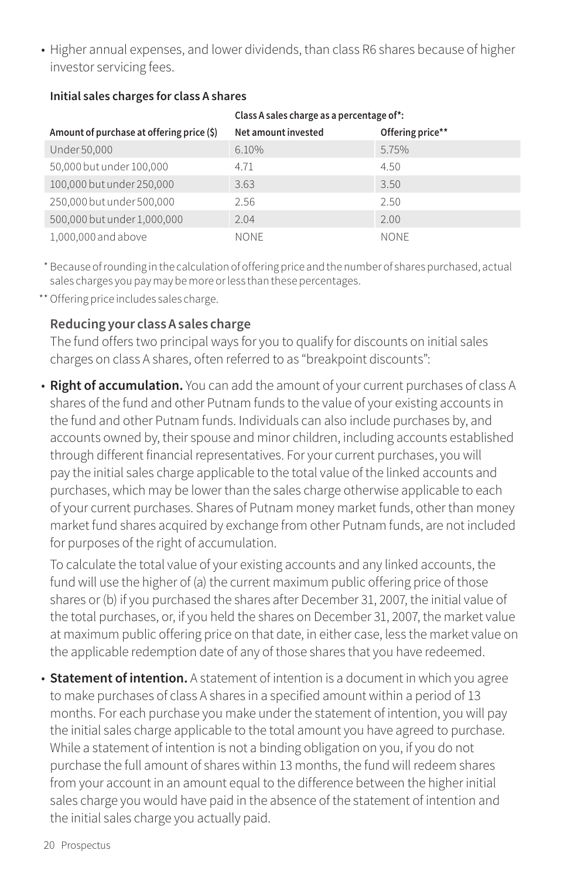• Higher annual expenses, and lower dividends, than class R6 shares because of higher investor servicing fees.

|                                           | Class A sales charge as a percentage of*: |                  |  |  |  |  |  |  |
|-------------------------------------------|-------------------------------------------|------------------|--|--|--|--|--|--|
| Amount of purchase at offering price (\$) | Net amount invested                       | Offering price** |  |  |  |  |  |  |
| Under 50,000                              | 6.10%                                     | 5.75%            |  |  |  |  |  |  |
| 50,000 but under 100,000                  | 4.71                                      | 4.50             |  |  |  |  |  |  |
| 100,000 but under 250,000                 | 3.63                                      | 3.50             |  |  |  |  |  |  |
| 250,000 but under 500,000                 | 2.56                                      | 2.50             |  |  |  |  |  |  |
| 500,000 but under 1,000,000               | 2.04                                      | 2.00             |  |  |  |  |  |  |
| 1,000,000 and above                       | <b>NONF</b>                               | <b>NONE</b>      |  |  |  |  |  |  |

#### **Initial sales charges for class A shares**

\* Because of rounding in the calculation of offering price and the number of shares purchased, actual sales charges you pay may be more or less than these percentages.

\*\* Offering price includes sales charge.

#### **Reducing your class A sales charge**

The fund offers two principal ways for you to qualify for discounts on initial sales charges on class A shares, often referred to as "breakpoint discounts":

• **Right of accumulation.** You can add the amount of your current purchases of class A shares of the fund and other Putnam funds to the value of your existing accounts in the fund and other Putnam funds. Individuals can also include purchases by, and accounts owned by, their spouse and minor children, including accounts established through different financial representatives. For your current purchases, you will pay the initial sales charge applicable to the total value of the linked accounts and purchases, which may be lower than the sales charge otherwise applicable to each of your current purchases. Shares of Putnam money market funds, other than money market fund shares acquired by exchange from other Putnam funds, are not included for purposes of the right of accumulation.

To calculate the total value of your existing accounts and any linked accounts, the fund will use the higher of (a) the current maximum public offering price of those shares or (b) if you purchased the shares after December 31, 2007, the initial value of the total purchases, or, if you held the shares on December 31, 2007, the market value at maximum public offering price on that date, in either case, less the market value on the applicable redemption date of any of those shares that you have redeemed.

• **Statement of intention.** A statement of intention is a document in which you agree to make purchases of class A shares in a specified amount within a period of 13 months. For each purchase you make under the statement of intention, you will pay the initial sales charge applicable to the total amount you have agreed to purchase. While a statement of intention is not a binding obligation on you, if you do not purchase the full amount of shares within 13 months, the fund will redeem shares from your account in an amount equal to the difference between the higher initial sales charge you would have paid in the absence of the statement of intention and the initial sales charge you actually paid.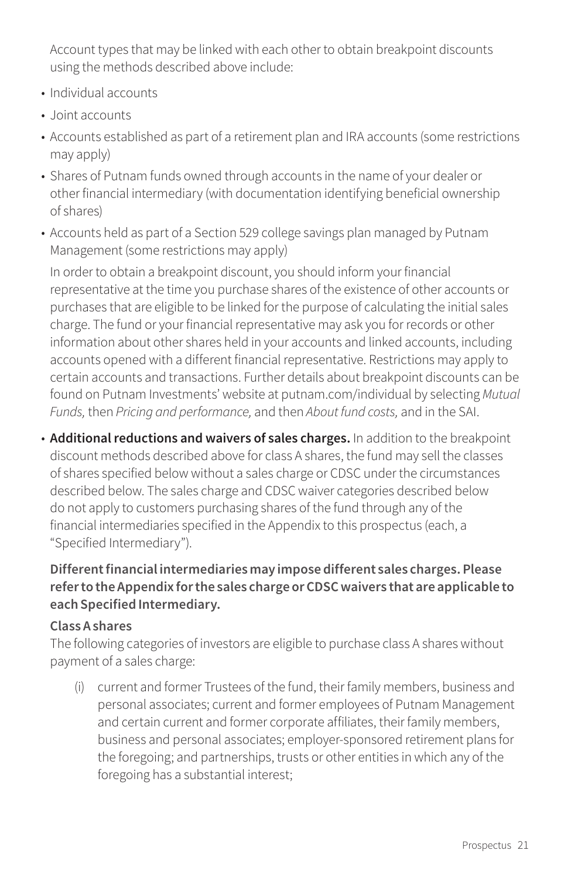Account types that may be linked with each other to obtain breakpoint discounts using the methods described above include:

- Individual accounts
- Joint accounts
- Accounts established as part of a retirement plan and IRA accounts (some restrictions may apply)
- Shares of Putnam funds owned through accounts in the name of your dealer or other financial intermediary (with documentation identifying beneficial ownership of shares)
- Accounts held as part of a Section 529 college savings plan managed by Putnam Management (some restrictions may apply)

In order to obtain a breakpoint discount, you should inform your financial representative at the time you purchase shares of the existence of other accounts or purchases that are eligible to be linked for the purpose of calculating the initial sales charge. The fund or your financial representative may ask you for records or other information about other shares held in your accounts and linked accounts, including accounts opened with a different financial representative. Restrictions may apply to certain accounts and transactions. Further details about breakpoint discounts can be found on Putnam Investments' website at [putnam.com/individual](https://www.putnam.com/individual?ref=SP020.pdf) by selecting *Mutual Funds,* then *Pricing and performance,* and then *About fund costs,* and in the SAI.

• **Additional reductions and waivers of sales charges.** In addition to the breakpoint discount methods described above for class A shares, the fund may sell the classes of shares specified below without a sales charge or CDSC under the circumstances described below. The sales charge and CDSC waiver categories described below do not apply to customers purchasing shares of the fund through any of the financial intermediaries specified in the Appendix to this prospectus (each, a "Specified Intermediary").

#### **Different financial intermediaries may impose different sales charges. Please refer to the Appendix for the sales charge or CDSC waivers that are applicable to each Specified Intermediary.**

#### **Class A shares**

The following categories of investors are eligible to purchase class A shares without payment of a sales charge:

(i) current and former Trustees of the fund, their family members, business and personal associates; current and former employees of Putnam Management and certain current and former corporate affiliates, their family members, business and personal associates; employer-sponsored retirement plans for the foregoing; and partnerships, trusts or other entities in which any of the foregoing has a substantial interest;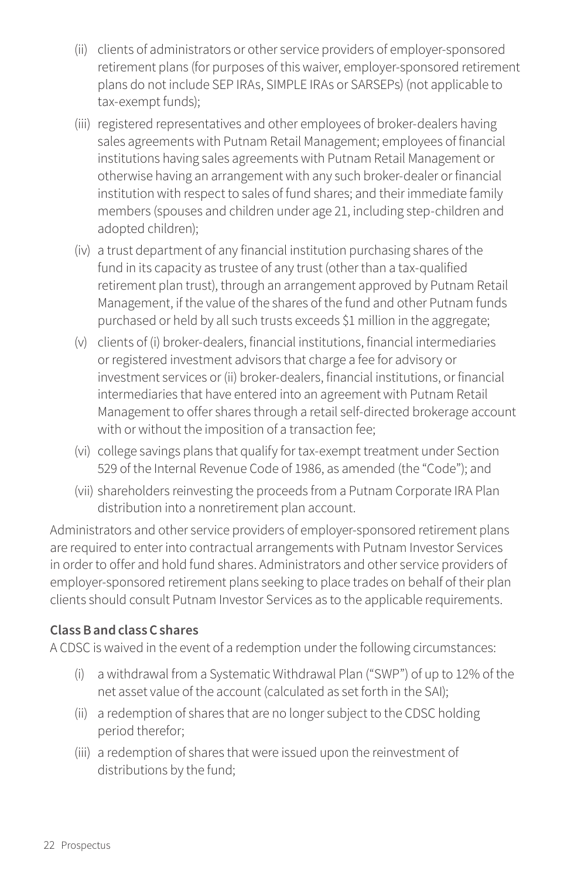- (ii) clients of administrators or other service providers of employer-sponsored retirement plans (for purposes of this waiver, employer-sponsored retirement plans do not include SEP IRAs, SIMPLE IRAs or SARSEPs) (not applicable to tax-exempt funds);
- (iii) registered representatives and other employees of broker-dealers having sales agreements with Putnam Retail Management; employees of financial institutions having sales agreements with Putnam Retail Management or otherwise having an arrangement with any such broker-dealer or financial institution with respect to sales of fund shares; and their immediate family members (spouses and children under age 21, including step-children and adopted children);
- (iv) a trust department of any financial institution purchasing shares of the fund in its capacity as trustee of any trust (other than a tax-qualified retirement plan trust), through an arrangement approved by Putnam Retail Management, if the value of the shares of the fund and other Putnam funds purchased or held by all such trusts exceeds \$1 million in the aggregate;
- (v) clients of (i) broker-dealers, financial institutions, financial intermediaries or registered investment advisors that charge a fee for advisory or investment services or (ii) broker-dealers, financial institutions, or financial intermediaries that have entered into an agreement with Putnam Retail Management to offer shares through a retail self-directed brokerage account with or without the imposition of a transaction fee;
- (vi) college savings plans that qualify for tax-exempt treatment under Section 529 of the Internal Revenue Code of 1986, as amended (the "Code"); and
- (vii) shareholders reinvesting the proceeds from a Putnam Corporate IRA Plan distribution into a nonretirement plan account.

Administrators and other service providers of employer-sponsored retirement plans are required to enter into contractual arrangements with Putnam Investor Services in order to offer and hold fund shares. Administrators and other service providers of employer-sponsored retirement plans seeking to place trades on behalf of their plan clients should consult Putnam Investor Services as to the applicable requirements.

#### **Class B and class C shares**

A CDSC is waived in the event of a redemption under the following circumstances:

- (i) a withdrawal from a Systematic Withdrawal Plan ("SWP") of up to 12% of the net asset value of the account (calculated as set forth in the SAI);
- (ii) a redemption of shares that are no longer subject to the CDSC holding period therefor;
- (iii) a redemption of shares that were issued upon the reinvestment of distributions by the fund;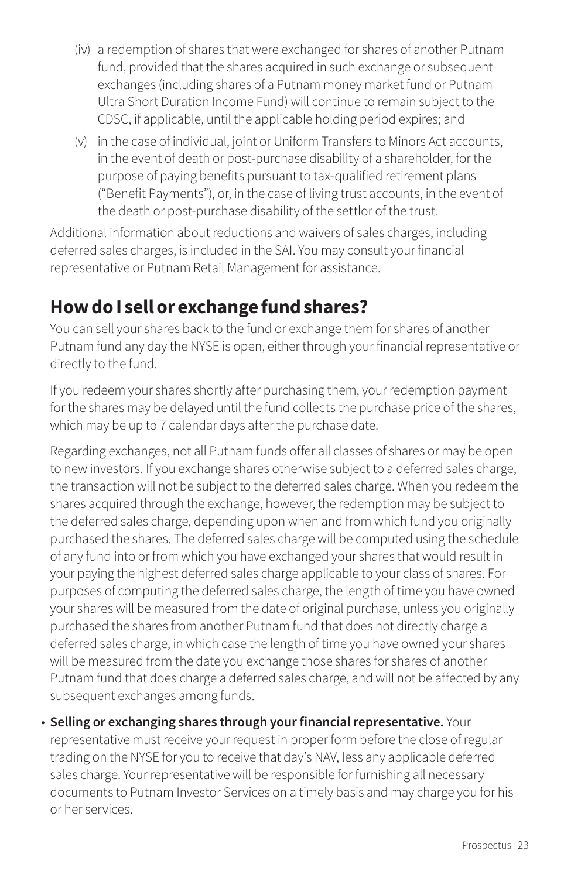- (iv) a redemption of shares that were exchanged for shares of another Putnam fund, provided that the shares acquired in such exchange or subsequent exchanges (including shares of a Putnam money market fund or Putnam Ultra Short Duration Income Fund) will continue to remain subject to the CDSC, if applicable, until the applicable holding period expires; and
- (v) in the case of individual, joint or Uniform Transfers to Minors Act accounts, in the event of death or post-purchase disability of a shareholder, for the purpose of paying benefits pursuant to tax-qualified retirement plans ("Benefit Payments"), or, in the case of living trust accounts, in the event of the death or post-purchase disability of the settlor of the trust.

Additional information about reductions and waivers of sales charges, including deferred sales charges, is included in the SAI. You may consult your financial representative or Putnam Retail Management for assistance.

## **How do I sell or exchange fund shares?**

You can sell your shares back to the fund or exchange them for shares of another Putnam fund any day the NYSE is open, either through your financial representative or directly to the fund.

If you redeem your shares shortly after purchasing them, your redemption payment for the shares may be delayed until the fund collects the purchase price of the shares, which may be up to 7 calendar days after the purchase date.

Regarding exchanges, not all Putnam funds offer all classes of shares or may be open to new investors. If you exchange shares otherwise subject to a deferred sales charge, the transaction will not be subject to the deferred sales charge. When you redeem the shares acquired through the exchange, however, the redemption may be subject to the deferred sales charge, depending upon when and from which fund you originally purchased the shares. The deferred sales charge will be computed using the schedule of any fund into or from which you have exchanged your shares that would result in your paying the highest deferred sales charge applicable to your class of shares. For purposes of computing the deferred sales charge, the length of time you have owned your shares will be measured from the date of original purchase, unless you originally purchased the shares from another Putnam fund that does not directly charge a deferred sales charge, in which case the length of time you have owned your shares will be measured from the date you exchange those shares for shares of another Putnam fund that does charge a deferred sales charge, and will not be affected by any subsequent exchanges among funds.

• **Selling or exchanging shares through your financial representative.** Your representative must receive your request in proper form before the close of regular trading on the NYSE for you to receive that day's NAV, less any applicable deferred sales charge. Your representative will be responsible for furnishing all necessary documents to Putnam Investor Services on a timely basis and may charge you for his or her services.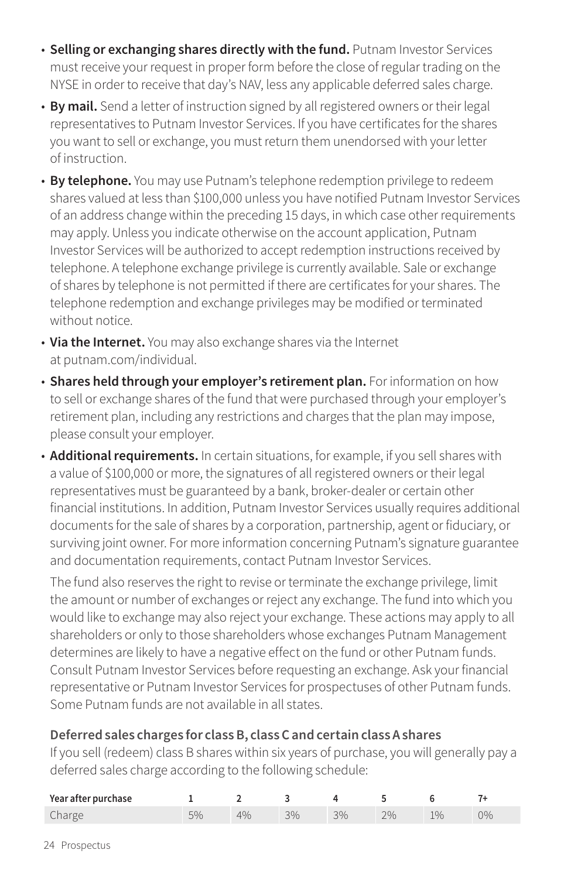- **Selling or exchanging shares directly with the fund.** Putnam Investor Services must receive your request in proper form before the close of regular trading on the NYSE in order to receive that day's NAV, less any applicable deferred sales charge.
- **By mail.** Send a letter of instruction signed by all registered owners or their legal representatives to Putnam Investor Services. If you have certificates for the shares you want to sell or exchange, you must return them unendorsed with your letter of instruction.
- **By telephone.** You may use Putnam's telephone redemption privilege to redeem shares valued at less than \$100,000 unless you have notified Putnam Investor Services of an address change within the preceding 15 days, in which case other requirements may apply. Unless you indicate otherwise on the account application, Putnam Investor Services will be authorized to accept redemption instructions received by telephone. A telephone exchange privilege is currently available. Sale or exchange of shares by telephone is not permitted if there are certificates for your shares. The telephone redemption and exchange privileges may be modified or terminated without notice.
- **Via the Internet.** You may also exchange shares via the Internet at [putnam.com/individual.](https://www.putnam.com/individual?ref=SP020.pdf)
- **Shares held through your employer's retirement plan.** For information on how to sell or exchange shares of the fund that were purchased through your employer's retirement plan, including any restrictions and charges that the plan may impose, please consult your employer.
- **Additional requirements.** In certain situations, for example, if you sell shares with a value of \$100,000 or more, the signatures of all registered owners or their legal representatives must be guaranteed by a bank, broker-dealer or certain other financial institutions. In addition, Putnam Investor Services usually requires additional documents for the sale of shares by a corporation, partnership, agent or fiduciary, or surviving joint owner. For more information concerning Putnam's signature guarantee and documentation requirements, contact Putnam Investor Services.

The fund also reserves the right to revise or terminate the exchange privilege, limit the amount or number of exchanges or reject any exchange. The fund into which you would like to exchange may also reject your exchange. These actions may apply to all shareholders or only to those shareholders whose exchanges Putnam Management determines are likely to have a negative effect on the fund or other Putnam funds. Consult Putnam Investor Services before requesting an exchange. Ask your financial representative or Putnam Investor Services for prospectuses of other Putnam funds. Some Putnam funds are not available in all states.

#### **Deferred sales charges for class B, class C and certain class A shares**

If you sell (redeem) class B shares within six years of purchase, you will generally pay a deferred sales charge according to the following schedule:

| Year after purchase |  |      |    |       |
|---------------------|--|------|----|-------|
| Charge              |  | 20/0 | 2% | $0\%$ |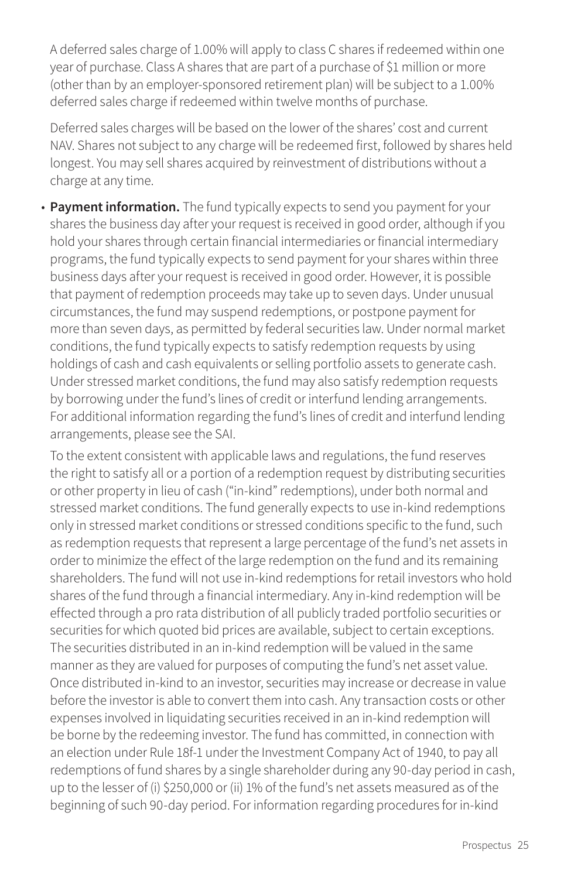A deferred sales charge of 1.00% will apply to class C shares if redeemed within one year of purchase. Class A shares that are part of a purchase of \$1 million or more (other than by an employer-sponsored retirement plan) will be subject to a 1.00% deferred sales charge if redeemed within twelve months of purchase.

Deferred sales charges will be based on the lower of the shares' cost and current NAV. Shares not subject to any charge will be redeemed first, followed by shares held longest. You may sell shares acquired by reinvestment of distributions without a charge at any time.

• **Payment information.** The fund typically expects to send you payment for your shares the business day after your request is received in good order, although if you hold your shares through certain financial intermediaries or financial intermediary programs, the fund typically expects to send payment for your shares within three business days after your request is received in good order. However, it is possible that payment of redemption proceeds may take up to seven days. Under unusual circumstances, the fund may suspend redemptions, or postpone payment for more than seven days, as permitted by federal securities law. Under normal market conditions, the fund typically expects to satisfy redemption requests by using holdings of cash and cash equivalents or selling portfolio assets to generate cash. Under stressed market conditions, the fund may also satisfy redemption requests by borrowing under the fund's lines of credit or interfund lending arrangements. For additional information regarding the fund's lines of credit and interfund lending arrangements, please see the SAI.

To the extent consistent with applicable laws and regulations, the fund reserves the right to satisfy all or a portion of a redemption request by distributing securities or other property in lieu of cash ("in-kind" redemptions), under both normal and stressed market conditions. The fund generally expects to use in-kind redemptions only in stressed market conditions or stressed conditions specific to the fund, such as redemption requests that represent a large percentage of the fund's net assets in order to minimize the effect of the large redemption on the fund and its remaining shareholders. The fund will not use in-kind redemptions for retail investors who hold shares of the fund through a financial intermediary. Any in-kind redemption will be effected through a pro rata distribution of all publicly traded portfolio securities or securities for which quoted bid prices are available, subject to certain exceptions. The securities distributed in an in-kind redemption will be valued in the same manner as they are valued for purposes of computing the fund's net asset value. Once distributed in-kind to an investor, securities may increase or decrease in value before the investor is able to convert them into cash. Any transaction costs or other expenses involved in liquidating securities received in an in-kind redemption will be borne by the redeeming investor. The fund has committed, in connection with an election under Rule 18f-1 under the Investment Company Act of 1940, to pay all redemptions of fund shares by a single shareholder during any 90-day period in cash, up to the lesser of (i) \$250,000 or (ii) 1% of the fund's net assets measured as of the beginning of such 90-day period. For information regarding procedures for in-kind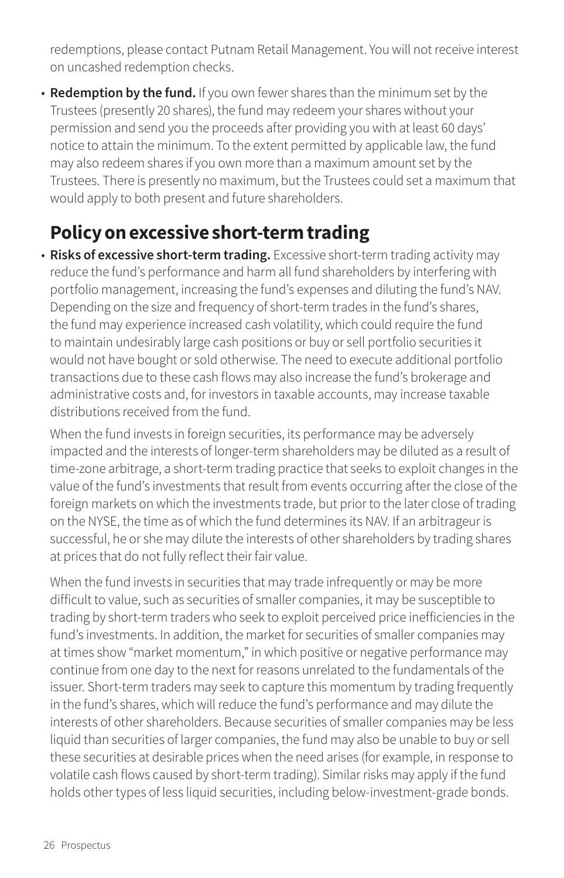redemptions, please contact Putnam Retail Management. You will not receive interest on uncashed redemption checks.

• **Redemption by the fund.** If you own fewer shares than the minimum set by the Trustees (presently 20 shares), the fund may redeem your shares without your permission and send you the proceeds after providing you with at least 60 days' notice to attain the minimum. To the extent permitted by applicable law, the fund may also redeem shares if you own more than a maximum amount set by the Trustees. There is presently no maximum, but the Trustees could set a maximum that would apply to both present and future shareholders.

## **Policy on excessive short-term trading**

• **Risks of excessive short-term trading.** Excessive short-term trading activity may reduce the fund's performance and harm all fund shareholders by interfering with portfolio management, increasing the fund's expenses and diluting the fund's NAV. Depending on the size and frequency of short-term trades in the fund's shares, the fund may experience increased cash volatility, which could require the fund to maintain undesirably large cash positions or buy or sell portfolio securities it would not have bought or sold otherwise. The need to execute additional portfolio transactions due to these cash flows may also increase the fund's brokerage and administrative costs and, for investors in taxable accounts, may increase taxable distributions received from the fund.

When the fund invests in foreign securities, its performance may be adversely impacted and the interests of longer-term shareholders may be diluted as a result of time-zone arbitrage, a short-term trading practice that seeks to exploit changes in the value of the fund's investments that result from events occurring after the close of the foreign markets on which the investments trade, but prior to the later close of trading on the NYSE, the time as of which the fund determines its NAV. If an arbitrageur is successful, he or she may dilute the interests of other shareholders by trading shares at prices that do not fully reflect their fair value.

When the fund invests in securities that may trade infrequently or may be more difficult to value, such as securities of smaller companies, it may be susceptible to trading by short-term traders who seek to exploit perceived price inefficiencies in the fund's investments. In addition, the market for securities of smaller companies may at times show "market momentum," in which positive or negative performance may continue from one day to the next for reasons unrelated to the fundamentals of the issuer. Short-term traders may seek to capture this momentum by trading frequently in the fund's shares, which will reduce the fund's performance and may dilute the interests of other shareholders. Because securities of smaller companies may be less liquid than securities of larger companies, the fund may also be unable to buy or sell these securities at desirable prices when the need arises (for example, in response to volatile cash flows caused by short-term trading). Similar risks may apply if the fund holds other types of less liquid securities, including below-investment-grade bonds.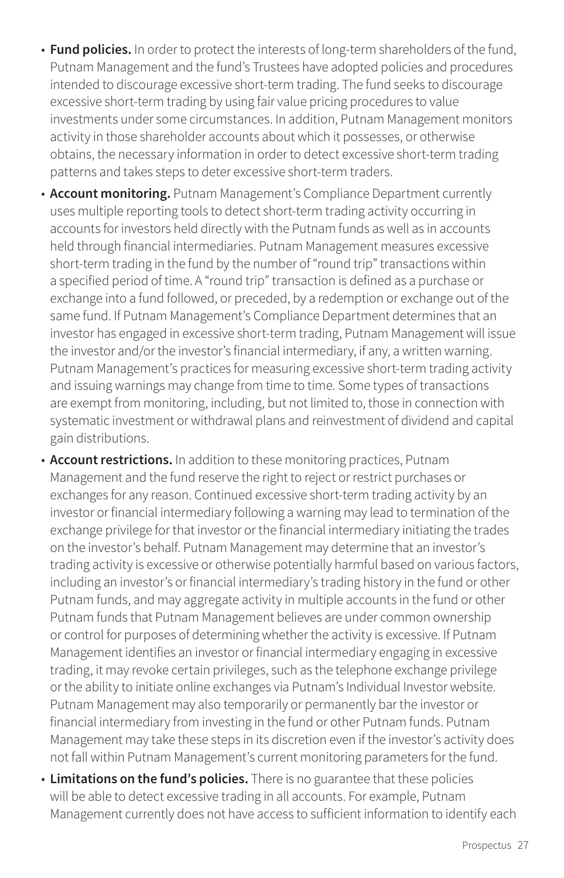- **Fund policies.** In order to protect the interests of long-term shareholders of the fund, Putnam Management and the fund's Trustees have adopted policies and procedures intended to discourage excessive short-term trading. The fund seeks to discourage excessive short-term trading by using fair value pricing procedures to value investments under some circumstances. In addition, Putnam Management monitors activity in those shareholder accounts about which it possesses, or otherwise obtains, the necessary information in order to detect excessive short-term trading patterns and takes steps to deter excessive short-term traders.
- **Account monitoring.** Putnam Management's Compliance Department currently uses multiple reporting tools to detect short-term trading activity occurring in accounts for investors held directly with the Putnam funds as well as in accounts held through financial intermediaries. Putnam Management measures excessive short-term trading in the fund by the number of "round trip" transactions within a specified period of time. A "round trip" transaction is defined as a purchase or exchange into a fund followed, or preceded, by a redemption or exchange out of the same fund. If Putnam Management's Compliance Department determines that an investor has engaged in excessive short-term trading, Putnam Management will issue the investor and/or the investor's financial intermediary, if any, a written warning. Putnam Management's practices for measuring excessive short-term trading activity and issuing warnings may change from time to time. Some types of transactions are exempt from monitoring, including, but not limited to, those in connection with systematic investment or withdrawal plans and reinvestment of dividend and capital gain distributions.
- **Account restrictions.** In addition to these monitoring practices, Putnam Management and the fund reserve the right to reject or restrict purchases or exchanges for any reason. Continued excessive short-term trading activity by an investor or financial intermediary following a warning may lead to termination of the exchange privilege for that investor or the financial intermediary initiating the trades on the investor's behalf. Putnam Management may determine that an investor's trading activity is excessive or otherwise potentially harmful based on various factors, including an investor's or financial intermediary's trading history in the fund or other Putnam funds, and may aggregate activity in multiple accounts in the fund or other Putnam funds that Putnam Management believes are under common ownership or control for purposes of determining whether the activity is excessive. If Putnam Management identifies an investor or financial intermediary engaging in excessive trading, it may revoke certain privileges, such as the telephone exchange privilege or the ability to initiate online exchanges via Putnam's Individual Investor website. Putnam Management may also temporarily or permanently bar the investor or financial intermediary from investing in the fund or other Putnam funds. Putnam Management may take these steps in its discretion even if the investor's activity does not fall within Putnam Management's current monitoring parameters for the fund.
- **Limitations on the fund's policies.** There is no guarantee that these policies will be able to detect excessive trading in all accounts. For example, Putnam Management currently does not have access to sufficient information to identify each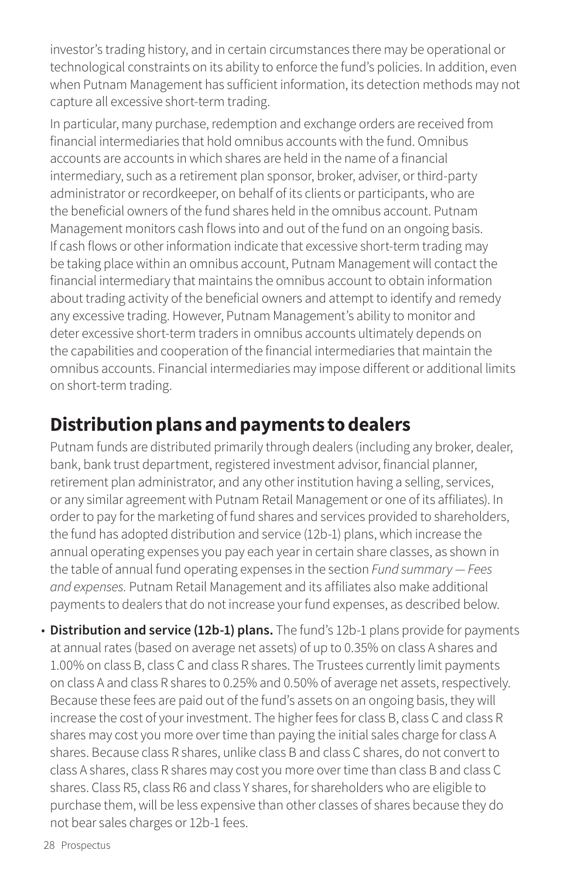investor's trading history, and in certain circumstances there may be operational or technological constraints on its ability to enforce the fund's policies. In addition, even when Putnam Management has sufficient information, its detection methods may not capture all excessive short-term trading.

In particular, many purchase, redemption and exchange orders are received from financial intermediaries that hold omnibus accounts with the fund. Omnibus accounts are accounts in which shares are held in the name of a financial intermediary, such as a retirement plan sponsor, broker, adviser, or third-party administrator or recordkeeper, on behalf of its clients or participants, who are the beneficial owners of the fund shares held in the omnibus account. Putnam Management monitors cash flows into and out of the fund on an ongoing basis. If cash flows or other information indicate that excessive short-term trading may be taking place within an omnibus account, Putnam Management will contact the financial intermediary that maintains the omnibus account to obtain information about trading activity of the beneficial owners and attempt to identify and remedy any excessive trading. However, Putnam Management's ability to monitor and deter excessive short-term traders in omnibus accounts ultimately depends on the capabilities and cooperation of the financial intermediaries that maintain the omnibus accounts. Financial intermediaries may impose different or additional limits on short-term trading.

## **Distribution plans and payments to dealers**

Putnam funds are distributed primarily through dealers (including any broker, dealer, bank, bank trust department, registered investment advisor, financial planner, retirement plan administrator, and any other institution having a selling, services, or any similar agreement with Putnam Retail Management or one of its affiliates). In order to pay for the marketing of fund shares and services provided to shareholders, the fund has adopted distribution and service (12b-1) plans, which increase the annual operating expenses you pay each year in certain share classes, as shown in the table of annual fund operating expenses in the section *Fund summary — Fees and expenses.* Putnam Retail Management and its affiliates also make additional payments to dealers that do not increase your fund expenses, as described below.

• **Distribution and service (12b-1) plans.** The fund's 12b-1 plans provide for payments at annual rates (based on average net assets) of up to 0.35% on class A shares and 1.00% on class B, class C and class R shares. The Trustees currently limit payments on class A and class R shares to 0.25% and 0.50% of average net assets, respectively. Because these fees are paid out of the fund's assets on an ongoing basis, they will increase the cost of your investment. The higher fees for class B, class C and class R shares may cost you more over time than paying the initial sales charge for class A shares. Because class R shares, unlike class B and class C shares, do not convert to class A shares, class R shares may cost you more over time than class B and class C shares. Class R5, class R6 and class Y shares, for shareholders who are eligible to purchase them, will be less expensive than other classes of shares because they do not bear sales charges or 12b-1 fees.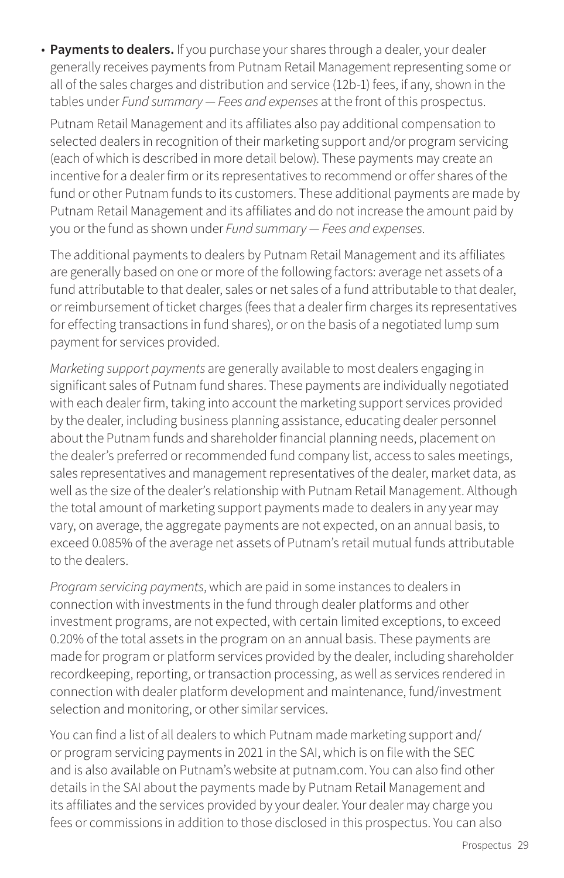• **Payments to dealers.** If you purchase your shares through a dealer, your dealer generally receives payments from Putnam Retail Management representing some or all of the sales charges and distribution and service (12b-1) fees, if any, shown in the tables under *Fund summary — Fees and expenses* at the front of this prospectus.

Putnam Retail Management and its affiliates also pay additional compensation to selected dealers in recognition of their marketing support and/or program servicing (each of which is described in more detail below). These payments may create an incentive for a dealer firm or its representatives to recommend or offer shares of the fund or other Putnam funds to its customers. These additional payments are made by Putnam Retail Management and its affiliates and do not increase the amount paid by you or the fund as shown under *Fund summary — Fees and expenses*.

The additional payments to dealers by Putnam Retail Management and its affiliates are generally based on one or more of the following factors: average net assets of a fund attributable to that dealer, sales or net sales of a fund attributable to that dealer, or reimbursement of ticket charges (fees that a dealer firm charges its representatives for effecting transactions in fund shares), or on the basis of a negotiated lump sum payment for services provided.

*Marketing support payments* are generally available to most dealers engaging in significant sales of Putnam fund shares. These payments are individually negotiated with each dealer firm, taking into account the marketing support services provided by the dealer, including business planning assistance, educating dealer personnel about the Putnam funds and shareholder financial planning needs, placement on the dealer's preferred or recommended fund company list, access to sales meetings, sales representatives and management representatives of the dealer, market data, as well as the size of the dealer's relationship with Putnam Retail Management. Although the total amount of marketing support payments made to dealers in any year may vary, on average, the aggregate payments are not expected, on an annual basis, to exceed 0.085% of the average net assets of Putnam's retail mutual funds attributable to the dealers.

*Program servicing payments*, which are paid in some instances to dealers in connection with investments in the fund through dealer platforms and other investment programs, are not expected, with certain limited exceptions, to exceed 0.20% of the total assets in the program on an annual basis. These payments are made for program or platform services provided by the dealer, including shareholder recordkeeping, reporting, or transaction processing, as well as services rendered in connection with dealer platform development and maintenance, fund/investment selection and monitoring, or other similar services.

You can find a list of all dealers to which Putnam made marketing support and/ or program servicing payments in 2021 in the SAI, which is on file with the SEC and is also available on Putnam's website at [putnam.com.](https://www.putnam.com?ref=SP020.pdf) You can also find other details in the SAI about the payments made by Putnam Retail Management and its affiliates and the services provided by your dealer. Your dealer may charge you fees or commissions in addition to those disclosed in this prospectus. You can also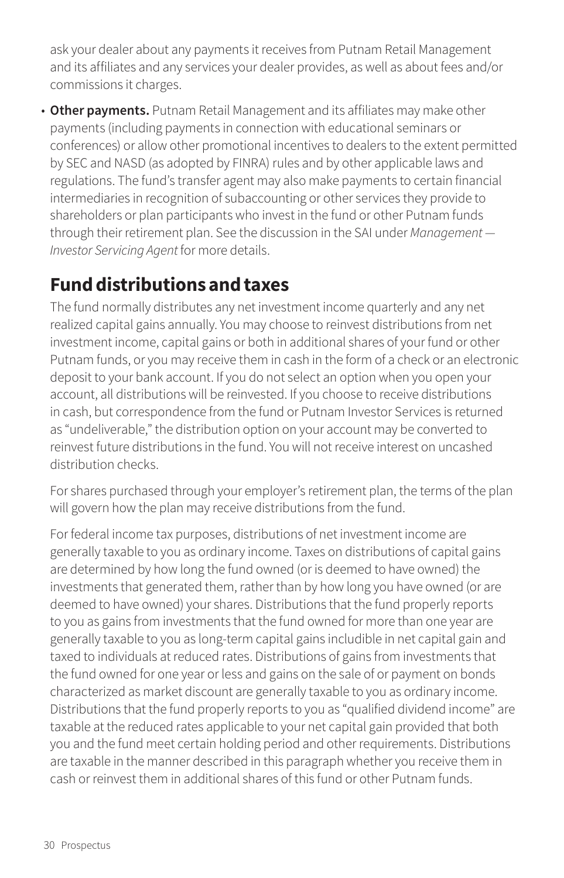ask your dealer about any payments it receives from Putnam Retail Management and its affiliates and any services your dealer provides, as well as about fees and/or commissions it charges.

• **Other payments.** Putnam Retail Management and its affiliates may make other payments (including payments in connection with educational seminars or conferences) or allow other promotional incentives to dealers to the extent permitted by SEC and NASD (as adopted by FINRA) rules and by other applicable laws and regulations. The fund's transfer agent may also make payments to certain financial intermediaries in recognition of subaccounting or other services they provide to shareholders or plan participants who invest in the fund or other Putnam funds through their retirement plan. See the discussion in the SAI under *Management — Investor Servicing Agent* for more details.

## **Fund distributions and taxes**

The fund normally distributes any net investment income quarterly and any net realized capital gains annually. You may choose to reinvest distributions from net investment income, capital gains or both in additional shares of your fund or other Putnam funds, or you may receive them in cash in the form of a check or an electronic deposit to your bank account. If you do not select an option when you open your account, all distributions will be reinvested. If you choose to receive distributions in cash, but correspondence from the fund or Putnam Investor Services is returned as "undeliverable," the distribution option on your account may be converted to reinvest future distributions in the fund. You will not receive interest on uncashed distribution checks.

For shares purchased through your employer's retirement plan, the terms of the plan will govern how the plan may receive distributions from the fund.

For federal income tax purposes, distributions of net investment income are generally taxable to you as ordinary income. Taxes on distributions of capital gains are determined by how long the fund owned (or is deemed to have owned) the investments that generated them, rather than by how long you have owned (or are deemed to have owned) your shares. Distributions that the fund properly reports to you as gains from investments that the fund owned for more than one year are generally taxable to you as long-term capital gains includible in net capital gain and taxed to individuals at reduced rates. Distributions of gains from investments that the fund owned for one year or less and gains on the sale of or payment on bonds characterized as market discount are generally taxable to you as ordinary income. Distributions that the fund properly reports to you as "qualified dividend income" are taxable at the reduced rates applicable to your net capital gain provided that both you and the fund meet certain holding period and other requirements. Distributions are taxable in the manner described in this paragraph whether you receive them in cash or reinvest them in additional shares of this fund or other Putnam funds.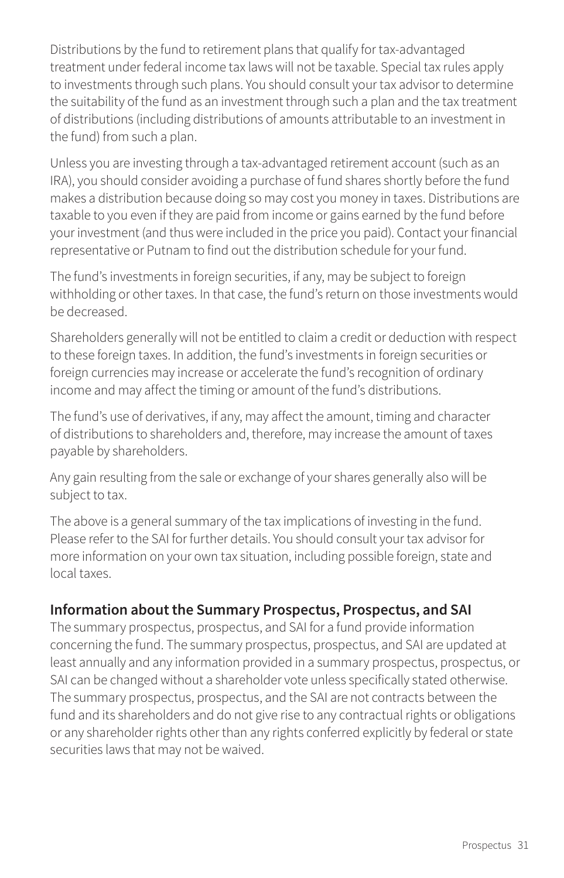Distributions by the fund to retirement plans that qualify for tax-advantaged treatment under federal income tax laws will not be taxable. Special tax rules apply to investments through such plans. You should consult your tax advisor to determine the suitability of the fund as an investment through such a plan and the tax treatment of distributions (including distributions of amounts attributable to an investment in the fund) from such a plan.

Unless you are investing through a tax-advantaged retirement account (such as an IRA), you should consider avoiding a purchase of fund shares shortly before the fund makes a distribution because doing so may cost you money in taxes. Distributions are taxable to you even if they are paid from income or gains earned by the fund before your investment (and thus were included in the price you paid). Contact your financial representative or Putnam to find out the distribution schedule for your fund.

The fund's investments in foreign securities, if any, may be subject to foreign withholding or other taxes. In that case, the fund's return on those investments would be decreased.

Shareholders generally will not be entitled to claim a credit or deduction with respect to these foreign taxes. In addition, the fund's investments in foreign securities or foreign currencies may increase or accelerate the fund's recognition of ordinary income and may affect the timing or amount of the fund's distributions.

The fund's use of derivatives, if any, may affect the amount, timing and character of distributions to shareholders and, therefore, may increase the amount of taxes payable by shareholders.

Any gain resulting from the sale or exchange of your shares generally also will be subject to tax.

The above is a general summary of the tax implications of investing in the fund. Please refer to the SAI for further details. You should consult your tax advisor for more information on your own tax situation, including possible foreign, state and local taxes.

#### **Information about the Summary Prospectus, Prospectus, and SAI**

The summary prospectus, prospectus, and SAI for a fund provide information concerning the fund. The summary prospectus, prospectus, and SAI are updated at least annually and any information provided in a summary prospectus, prospectus, or SAI can be changed without a shareholder vote unless specifically stated otherwise. The summary prospectus, prospectus, and the SAI are not contracts between the fund and its shareholders and do not give rise to any contractual rights or obligations or any shareholder rights other than any rights conferred explicitly by federal or state securities laws that may not be waived.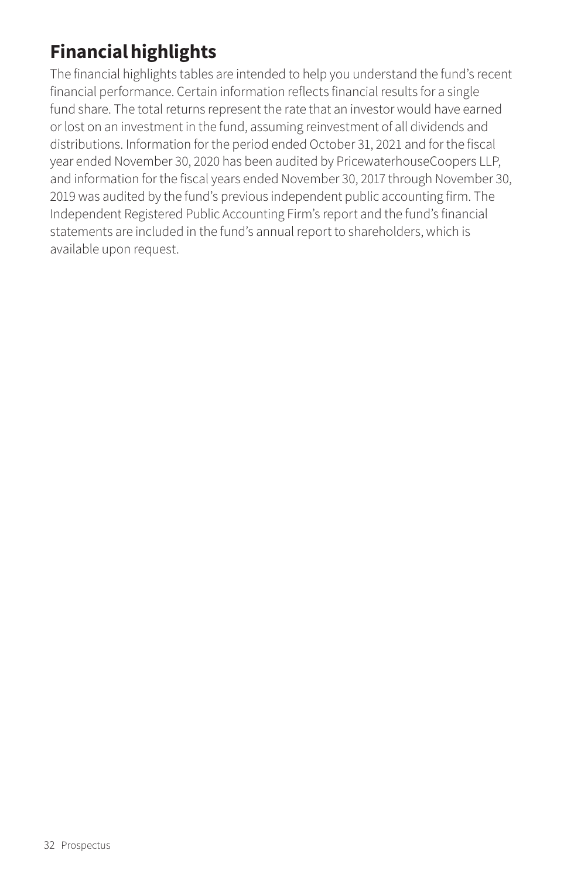## **Financial highlights**

The financial highlights tables are intended to help you understand the fund's recent financial performance. Certain information reflects financial results for a single fund share. The total returns represent the rate that an investor would have earned or lost on an investment in the fund, assuming reinvestment of all dividends and distributions. Information for the period ended October 31, 2021 and for the fiscal year ended November 30, 2020 has been audited by PricewaterhouseCoopers LLP, and information for the fiscal years ended November 30, 2017 through November 30, 2019 was audited by the fund's previous independent public accounting firm. The Independent Registered Public Accounting Firm's report and the fund's financial statements are included in the fund's annual report to shareholders, which is available upon request.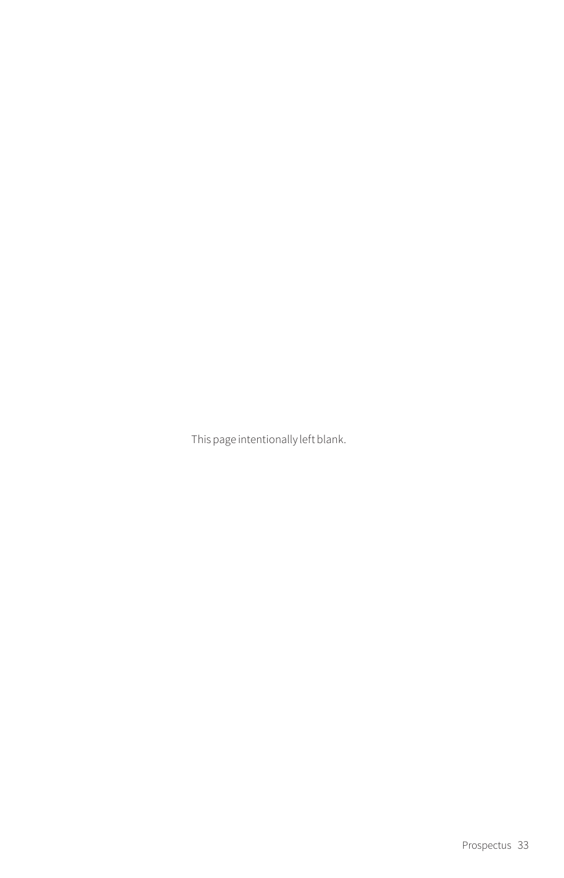This page intentionally left blank.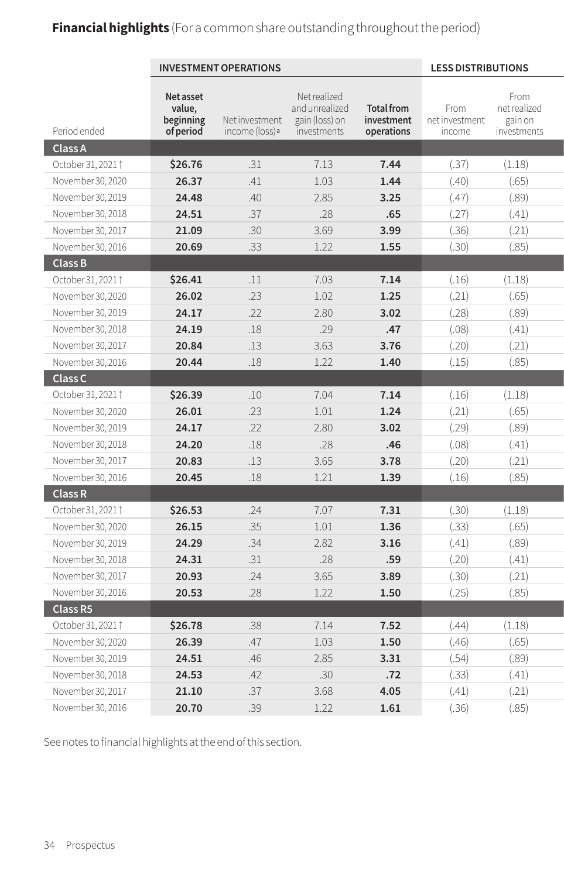### **Financial highlights** (For a common share outstanding throughout the period)

|                    |                                                      | <b>INVESTMENT OPERATIONS</b>                 |                                                                 |                                               | <b>LESS DISTRIBUTIONS</b>        |                                                |
|--------------------|------------------------------------------------------|----------------------------------------------|-----------------------------------------------------------------|-----------------------------------------------|----------------------------------|------------------------------------------------|
| Period ended       | <b>Net asset</b><br>value,<br>beginning<br>of period | Net investment<br>income (loss) <sup>a</sup> | Net realized<br>and unrealized<br>gain (loss) on<br>investments | <b>Total from</b><br>investment<br>operations | From<br>net investment<br>income | From<br>net realized<br>gain on<br>investments |
| Class A            |                                                      |                                              |                                                                 |                                               |                                  |                                                |
| October 31, 2021 † | \$26.76                                              | .31                                          | 7.13                                                            | 7.44                                          | (.37)                            | (1.18)                                         |
| November 30, 2020  | 26.37                                                | .41                                          | 1.03                                                            | 1.44                                          | (.40)                            | (.65)                                          |
| November 30, 2019  | 24.48                                                | .40                                          | 2.85                                                            | 3.25                                          | (.47)                            | (.89)                                          |
| November 30, 2018  | 24.51                                                | .37                                          | .28                                                             | .65                                           | (.27)                            | (.41)                                          |
| November 30, 2017  | 21.09                                                | .30                                          | 3.69                                                            | 3.99                                          | (.36)                            | (.21)                                          |
| November 30, 2016  | 20.69                                                | .33                                          | 1.22                                                            | 1.55                                          | (.30)                            | (.85)                                          |
| Class B            |                                                      |                                              |                                                                 |                                               |                                  |                                                |
| October 31, 2021 † | \$26.41                                              | .11                                          | 7.03                                                            | 7.14                                          | (.16)                            | (1.18)                                         |
| November 30, 2020  | 26.02                                                | .23                                          | 1.02                                                            | 1.25                                          | (.21)                            | (.65)                                          |
| November 30, 2019  | 24.17                                                | .22                                          | 2.80                                                            | 3.02                                          | (.28)                            | (.89)                                          |
| November 30, 2018  | 24.19                                                | .18                                          | .29                                                             | .47                                           | (.08)                            | (.41)                                          |
| November 30, 2017  | 20.84                                                | .13                                          | 3.63                                                            | 3.76                                          | (.20)                            | (.21)                                          |
| November 30, 2016  | 20.44                                                | .18                                          | 1.22                                                            | 1.40                                          | (.15)                            | (.85)                                          |
| Class C            |                                                      |                                              |                                                                 |                                               |                                  |                                                |
| October 31, 2021 † | \$26.39                                              | .10                                          | 7.04                                                            | 7.14                                          | (.16)                            | (1.18)                                         |
| November 30, 2020  | 26.01                                                | .23                                          | 1.01                                                            | 1.24                                          | (.21)                            | (.65)                                          |
| November 30, 2019  | 24.17                                                | .22                                          | 2.80                                                            | 3.02                                          | (.29)                            | (.89)                                          |
| November 30, 2018  | 24.20                                                | .18                                          | .28                                                             | .46                                           | (.08)                            | (.41)                                          |
| November 30, 2017  | 20.83                                                | .13                                          | 3.65                                                            | 3.78                                          | (.20)                            | (.21)                                          |
| November 30, 2016  | 20.45                                                | .18                                          | 1.21                                                            | 1.39                                          | (.16)                            | (.85)                                          |
| Class R            |                                                      |                                              |                                                                 |                                               |                                  |                                                |
| October 31, 2021 † | \$26.53                                              | .24                                          | 7.07                                                            | 7.31                                          | (.30)                            | (1.18)                                         |
| November 30, 2020  | 26.15                                                | .35                                          | 1.01                                                            | 1.36                                          | (.33)                            | (.65)                                          |
| November 30, 2019  | 24.29                                                | .34                                          | 2.82                                                            | 3.16                                          | (.41)                            | (.89)                                          |
| November 30, 2018  | 24.31                                                | .31                                          | .28                                                             | .59                                           | (.20)                            | (.41)                                          |
| November 30, 2017  | 20.93                                                | .24                                          | 3.65                                                            | 3.89                                          | (.30)                            | (.21)                                          |
| November 30, 2016  | 20.53                                                | .28                                          | 1.22                                                            | 1.50                                          | (.25)                            | (.85)                                          |
| Class R5           |                                                      |                                              |                                                                 |                                               |                                  |                                                |
| October 31, 2021 † | \$26.78                                              | .38                                          | 7.14                                                            | 7.52                                          | (.44)                            | (1.18)                                         |
| November 30, 2020  | 26.39                                                | .47                                          | 1.03                                                            | 1.50                                          | (.46)                            | (.65)                                          |
| November 30, 2019  | 24.51                                                | .46                                          | 2.85                                                            | 3.31                                          | (.54)                            | (.89)                                          |
| November 30, 2018  | 24.53                                                | .42                                          | .30                                                             | .72                                           | (.33)                            | (.41)                                          |
| November 30, 2017  | 21.10                                                | .37                                          | 3.68                                                            | 4.05                                          | (.41)                            | (.21)                                          |
|                    |                                                      |                                              |                                                                 |                                               |                                  |                                                |
| November 30, 2016  | 20.70                                                | .39                                          | 1.22                                                            | 1.61                                          | (.36)                            | (.85)                                          |

See notes to financial highlights at the end of this section.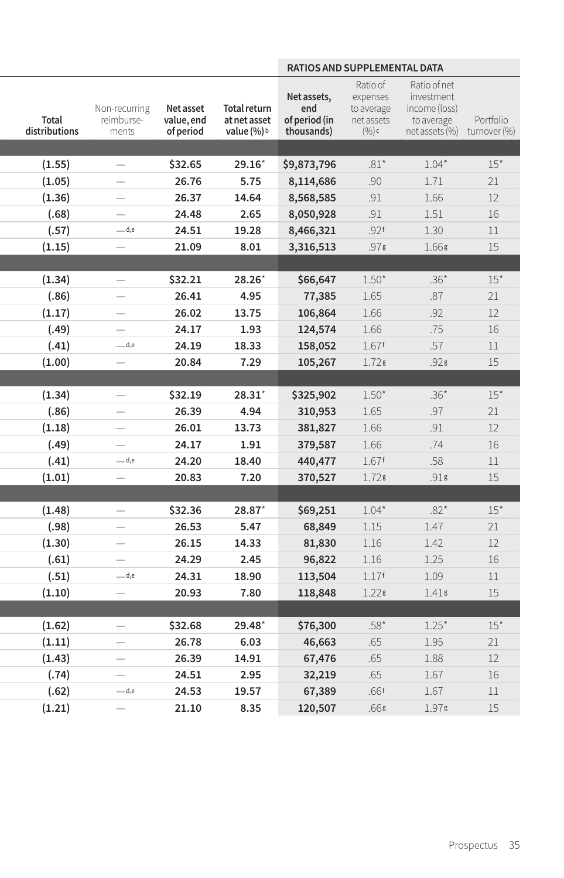|                        |                                                      |                                             |                                                    |                                                   | RATIOS AND SUPPLEMENTAL DATA                                  |                                                                                          |           |
|------------------------|------------------------------------------------------|---------------------------------------------|----------------------------------------------------|---------------------------------------------------|---------------------------------------------------------------|------------------------------------------------------------------------------------------|-----------|
| Total<br>distributions | Non-recurring<br>reimburse-<br>ments                 | <b>Net asset</b><br>value, end<br>of period | <b>Total return</b><br>at net asset<br>value (%) b | Net assets,<br>end<br>of period (in<br>thousands) | Ratio of<br>expenses<br>to average<br>net assets<br>$(0/0)$ c | Ratio of net<br>investment<br>income (loss)<br>to average<br>net assets (%) turnover (%) | Portfolio |
|                        |                                                      |                                             |                                                    |                                                   |                                                               |                                                                                          |           |
| (1.55)                 | $\overline{\phantom{m}}$                             | \$32.65                                     | 29.16*                                             | \$9,873,796                                       | $.81^{\star}$                                                 | $1.04*$                                                                                  | $15*$     |
| (1.05)                 | $\overline{\phantom{m}}$                             | 26.76                                       | 5.75                                               | 8,114,686                                         | .90                                                           | 1.71                                                                                     | 21        |
| (1.36)                 | $\overline{\phantom{m}}$                             | 26.37                                       | 14.64                                              | 8,568,585                                         | .91                                                           | 1.66                                                                                     | 12        |
| (.68)                  | $\overline{\phantom{m}}$                             | 24.48                                       | 2.65                                               | 8,050,928                                         | .91                                                           | 1.51                                                                                     | 16        |
| (.57)                  | $-d,e$                                               | 24.51                                       | 19.28                                              | 8,466,321                                         | .92f                                                          | 1.30                                                                                     | 11        |
| (1.15)                 | $\overline{\phantom{m}}$                             | 21.09                                       | 8.01                                               | 3,316,513                                         | .97g                                                          | 1.66g                                                                                    | 15        |
| (1.34)                 | $\overline{\phantom{m}}$                             | \$32.21                                     | 28.26*                                             | \$66,647                                          | $1.50*$                                                       | $.36*$                                                                                   | $15*$     |
| (.86)                  |                                                      | 26.41                                       | 4.95                                               | 77,385                                            | 1.65                                                          | .87                                                                                      | 21        |
|                        | $\overline{\phantom{m}}$<br>$\overline{\phantom{m}}$ | 26.02                                       | 13.75                                              | 106,864                                           | 1.66                                                          | .92                                                                                      | 12        |
| (1.17)<br>(.49)        | $\overline{\phantom{m}}$                             | 24.17                                       | 1.93                                               | 124,574                                           | 1.66                                                          | .75                                                                                      | 16        |
| (.41)                  | $= d,e$                                              | 24.19                                       | 18.33                                              | 158,052                                           | 1.67f                                                         | .57                                                                                      | 11        |
| (1.00)                 | $\overline{\phantom{m}}$                             | 20.84                                       | 7.29                                               | 105,267                                           | 1.72g                                                         | .92g                                                                                     | 15        |
|                        |                                                      |                                             |                                                    |                                                   |                                                               |                                                                                          |           |
| (1.34)                 | $\overline{\phantom{m}}$                             | \$32.19                                     | $28.31*$                                           | \$325,902                                         | $1.50*$                                                       | $.36*$                                                                                   | $15*$     |
| (.86)                  | $\overline{\phantom{m}}$                             | 26.39                                       | 4.94                                               | 310,953                                           | 1.65                                                          | .97                                                                                      | 21        |
| (1.18)                 | $\overline{\phantom{m}}$                             | 26.01                                       | 13.73                                              | 381,827                                           | 1.66                                                          | .91                                                                                      | 12        |
| (.49)                  | $\overline{\phantom{m}}$                             | 24.17                                       | 1.91                                               | 379,587                                           | 1.66                                                          | .74                                                                                      | 16        |
| (.41)                  | $-d,e$                                               | 24.20                                       | 18.40                                              | 440,477                                           | 1.67f                                                         | .58                                                                                      | 11        |
| (1.01)                 | $\overline{\phantom{m}}$                             | 20.83                                       | 7.20                                               | 370,527                                           | $1.72$ g                                                      | .91g                                                                                     | 15        |
|                        |                                                      |                                             |                                                    |                                                   |                                                               |                                                                                          |           |
| (1.48)                 | $\overline{\phantom{m}}$                             | \$32.36                                     | 28.87*                                             | \$69,251                                          | $1.04*$                                                       | $.82*$                                                                                   | $15*$     |
| (.98)                  | $\overline{\phantom{m}}$                             | 26.53                                       | 5.47                                               | 68,849                                            | 1.15                                                          | 1.47                                                                                     | 21        |
| (1.30)                 | $\overline{\phantom{m}}$                             | 26.15                                       | 14.33                                              | 81,830                                            | 1.16                                                          | 1.42                                                                                     | 12        |
| (.61)                  | $\overline{\phantom{m}}$                             | 24.29                                       | 2.45                                               | 96,822                                            | 1.16                                                          | 1.25                                                                                     | 16        |
| (.51)                  | $-d,e$                                               | 24.31                                       | 18.90                                              | 113,504                                           | 1.17f                                                         | 1.09                                                                                     | 11        |
| (1.10)                 | $\overline{\phantom{m}}$                             | 20.93                                       | 7.80                                               | 118,848                                           | 1.22g                                                         | 1.41g                                                                                    | 15        |
|                        |                                                      |                                             |                                                    |                                                   |                                                               |                                                                                          |           |
| (1.62)                 | $\overline{\phantom{0}}$                             | \$32.68                                     | 29.48*                                             | \$76,300                                          | $.58*$                                                        | $1.25*$                                                                                  | $15*$     |
| (1.11)                 | $\overline{\phantom{m}}$                             | 26.78<br>26.39                              | 6.03<br>14.91                                      | 46,663                                            | .65                                                           | 1.95<br>1.88                                                                             | 21<br>12  |
| (1.43)                 | $\overline{\phantom{m}}$                             | 24.51                                       | 2.95                                               | 67,476                                            | .65<br>.65                                                    | 1.67                                                                                     | 16        |
| (.74)<br>(.62)         | $\overline{\phantom{m}}$<br>$-d,e$                   | 24.53                                       | 19.57                                              | 32,219<br>67,389                                  | .66f                                                          | 1.67                                                                                     | $11\,$    |
|                        |                                                      | 21.10                                       | 8.35                                               | 120,507                                           | .66g                                                          | 1.97g                                                                                    | 15        |
| (1.21)                 | $\overline{\phantom{m}}$                             |                                             |                                                    |                                                   |                                                               |                                                                                          |           |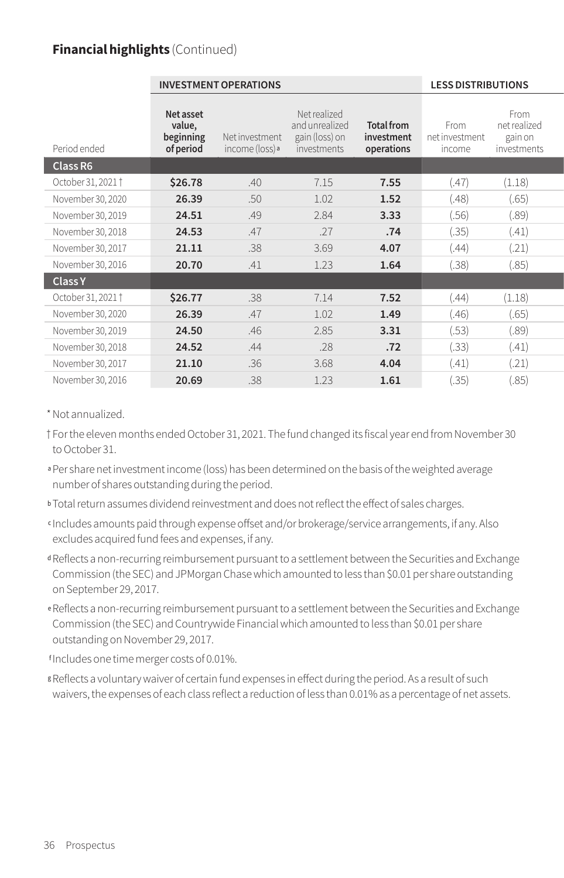#### **Financial highlights** (Continued)

|                    |                                                      | <b>INVESTMENT OPERATIONS</b>                 |                                                                 |                                        | <b>LESS DISTRIBUTIONS</b>        |                                                |
|--------------------|------------------------------------------------------|----------------------------------------------|-----------------------------------------------------------------|----------------------------------------|----------------------------------|------------------------------------------------|
| Period ended       | <b>Net asset</b><br>value,<br>beginning<br>of period | Net investment<br>income (loss) <sup>a</sup> | Net realized<br>and unrealized<br>gain (loss) on<br>investments | Total from<br>investment<br>operations | From<br>net investment<br>income | From<br>net realized<br>gain on<br>investments |
| Class R6           |                                                      |                                              |                                                                 |                                        |                                  |                                                |
| October 31, 2021   | \$26.78                                              | .40                                          | 7.15                                                            | 7.55                                   | (.47)                            | (1.18)                                         |
| November 30, 2020  | 26.39                                                | .50                                          | 1.02                                                            | 1.52                                   | (.48)                            | (.65)                                          |
| November 30, 2019  | 24.51                                                | .49                                          | 2.84                                                            | 3.33                                   | (.56)                            | (.89)                                          |
| November 30, 2018  | 24.53                                                | .47                                          | .27                                                             | .74                                    | (.35)                            | (.41)                                          |
| November 30, 2017  | 21.11                                                | .38                                          | 3.69                                                            | 4.07                                   | (.44)                            | (.21)                                          |
| November 30, 2016  | 20.70                                                | .41                                          | 1.23                                                            | 1.64                                   | (.38)                            | (.85)                                          |
| Class Y            |                                                      |                                              |                                                                 |                                        |                                  |                                                |
| October 31, 2021 † | \$26.77                                              | .38                                          | 7.14                                                            | 7.52                                   | (.44)                            | (1.18)                                         |
| November 30, 2020  | 26.39                                                | .47                                          | 1.02                                                            | 1.49                                   | (.46)                            | (.65)                                          |
| November 30, 2019  | 24.50                                                | .46                                          | 2.85                                                            | 3.31                                   | (.53)                            | (.89)                                          |
| November 30, 2018  | 24.52                                                | .44                                          | .28                                                             | .72                                    | (.33)                            | (.41)                                          |
| November 30, 2017  | 21.10                                                | .36                                          | 3.68                                                            | 4.04                                   | (.41)                            | (.21)                                          |
| November 30, 2016  | 20.69                                                | .38                                          | 1.23                                                            | 1.61                                   | (.35)                            | (.85)                                          |

\*Not annualized.

†For the eleven months ended October 31, 2021. The fund changed its fiscal year end from November 30 to October 31.

a Per share net investment income (loss) has been determined on the basis of the weighted average number of shares outstanding during the period.

**b** Total return assumes dividend reinvestment and does not reflect the effect of sales charges.

- <sup>c</sup> Includes amounts paid through expense offset and/or brokerage/service arrangements, if any. Also excludes acquired fund fees and expenses, if any.
- <sup>d</sup> Reflects a non-recurring reimbursement pursuant to a settlement between the Securities and Exchange Commission (the SEC) and JPMorgan Chase which amounted to less than \$0.01 per share outstanding on September 29, 2017.
- e Reflects a non-recurring reimbursement pursuant to a settlement between the Securities and Exchange Commission (the SEC) and Countrywide Financial which amounted to less than \$0.01 per share outstanding on November 29, 2017.

<sup>f</sup> Includes one time merger costs of 0.01%.

gReflects a voluntary waiver of certain fund expenses in effect during the period. As a result of such waivers, the expenses of each class reflect a reduction of less than 0.01% as a percentage of net assets.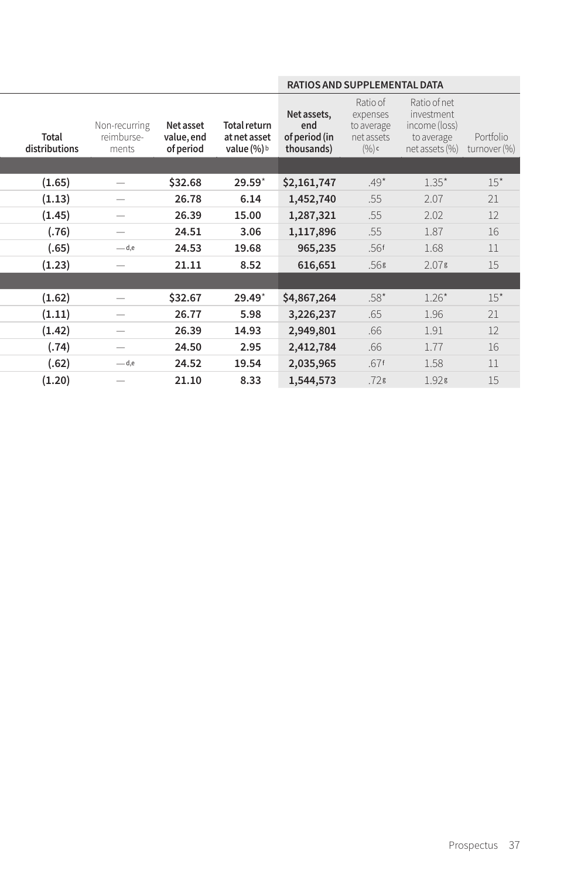|                        |  |                                      |                                             |                                                    | RATIOS AND SUPPLEMENTAL DATA                      |                                                               |                                                                             |                           |
|------------------------|--|--------------------------------------|---------------------------------------------|----------------------------------------------------|---------------------------------------------------|---------------------------------------------------------------|-----------------------------------------------------------------------------|---------------------------|
| Total<br>distributions |  | Non-recurring<br>reimburse-<br>ments | <b>Net asset</b><br>value, end<br>of period | <b>Total return</b><br>at net asset<br>value (%) b | Net assets,<br>end<br>of period (in<br>thousands) | Ratio of<br>expenses<br>to average<br>net assets<br>$(9/6)$ c | Ratio of net<br>investment<br>income (loss)<br>to average<br>net assets (%) | Portfolio<br>turnover (%) |
|                        |  |                                      |                                             |                                                    |                                                   |                                                               |                                                                             |                           |
| (1.65)                 |  | $\overline{\phantom{0}}$             | \$32.68                                     | 29.59*                                             | \$2,161,747                                       | $.49*$                                                        | $1.35*$                                                                     | $15*$                     |
| (1.13)                 |  | $\hspace{0.1mm}-\hspace{0.1mm}$      | 26.78                                       | 6.14                                               | 1,452,740                                         | .55                                                           | 2.07                                                                        | 21                        |
| (1.45)                 |  | $\hspace{0.1mm}-\hspace{0.1mm}$      | 26.39                                       | 15.00                                              | 1,287,321                                         | .55                                                           | 2.02                                                                        | 12                        |
| (.76)                  |  | $\hspace{0.1mm}-\hspace{0.1mm}$      | 24.51                                       | 3.06                                               | 1,117,896                                         | .55                                                           | 1.87                                                                        | 16                        |
| (.65)                  |  | $-d,e$                               | 24.53                                       | 19.68                                              | 965,235                                           | .56f                                                          | 1.68                                                                        | 11                        |
| (1.23)                 |  | $\hspace{0.1mm}-\hspace{0.1mm}$      | 21.11                                       | 8.52                                               | 616,651                                           | .56g                                                          | 2.07g                                                                       | 15                        |
|                        |  |                                      |                                             |                                                    |                                                   |                                                               |                                                                             |                           |
| (1.62)                 |  | $\overline{\phantom{0}}$             | \$32.67                                     | 29.49*                                             | \$4,867,264                                       | $.58*$                                                        | $1.26*$                                                                     | $15*$                     |
| (1.11)                 |  | $\hspace{0.1mm}-\hspace{0.1mm}$      | 26.77                                       | 5.98                                               | 3,226,237                                         | .65                                                           | 1.96                                                                        | 21                        |
| (1.42)                 |  | $\hspace{0.1mm}-\hspace{0.1mm}$      | 26.39                                       | 14.93                                              | 2,949,801                                         | .66                                                           | 1.91                                                                        | 12                        |
| (.74)                  |  | $\overline{\phantom{0}}$             | 24.50                                       | 2.95                                               | 2,412,784                                         | .66                                                           | 1.77                                                                        | 16                        |
| (.62)                  |  | $-d,e$                               | 24.52                                       | 19.54                                              | 2,035,965                                         | .67f                                                          | 1.58                                                                        | 11                        |
| (1.20)                 |  | $\overline{\phantom{0}}$             | 21.10                                       | 8.33                                               | 1,544,573                                         | .72g                                                          | 1.92g                                                                       | 15                        |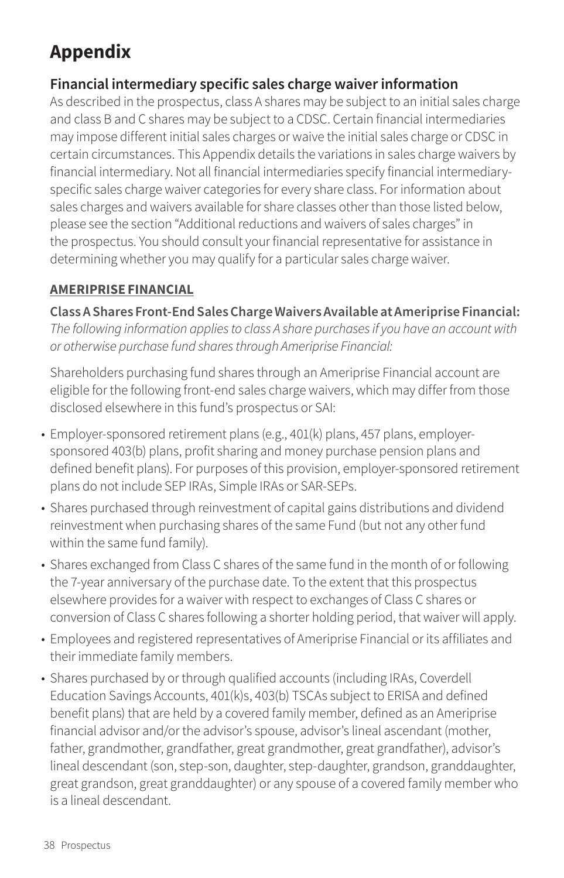## **Appendix**

### **Financial intermediary specific sales charge waiver information**

As described in the prospectus, class A shares may be subject to an initial sales charge and class B and C shares may be subject to a CDSC. Certain financial intermediaries may impose different initial sales charges or waive the initial sales charge or CDSC in certain circumstances. This Appendix details the variations in sales charge waivers by financial intermediary. Not all financial intermediaries specify financial intermediaryspecific sales charge waiver categories for every share class. For information about sales charges and waivers available for share classes other than those listed below, please see the section "Additional reductions and waivers of sales charges" in the prospectus. You should consult your financial representative for assistance in determining whether you may qualify for a particular sales charge waiver.

#### **AMERIPRISE FINANCIAL**

**Class A Shares Front-End Sales Charge Waivers Available at Ameriprise Financial:** *The following information applies to class A share purchases if you have an account with or otherwise purchase fund shares through Ameriprise Financial:*

Shareholders purchasing fund shares through an Ameriprise Financial account are eligible for the following front-end sales charge waivers, which may differ from those disclosed elsewhere in this fund's prospectus or SAI:

- Employer-sponsored retirement plans (e.g., 401(k) plans, 457 plans, employersponsored 403(b) plans, profit sharing and money purchase pension plans and defined benefit plans). For purposes of this provision, employer-sponsored retirement plans do not include SEP IRAs, Simple IRAs or SAR-SEPs.
- Shares purchased through reinvestment of capital gains distributions and dividend reinvestment when purchasing shares of the same Fund (but not any other fund within the same fund family).
- Shares exchanged from Class C shares of the same fund in the month of or following the 7-year anniversary of the purchase date. To the extent that this prospectus elsewhere provides for a waiver with respect to exchanges of Class C shares or conversion of Class C shares following a shorter holding period, that waiver will apply.
- Employees and registered representatives of Ameriprise Financial or its affiliates and their immediate family members.
- Shares purchased by or through qualified accounts (including IRAs, Coverdell Education Savings Accounts, 401(k)s, 403(b) TSCAs subject to ERISA and defined benefit plans) that are held by a covered family member, defined as an Ameriprise financial advisor and/or the advisor's spouse, advisor's lineal ascendant (mother, father, grandmother, grandfather, great grandmother, great grandfather), advisor's lineal descendant (son, step-son, daughter, step-daughter, grandson, granddaughter, great grandson, great granddaughter) or any spouse of a covered family member who is a lineal descendant.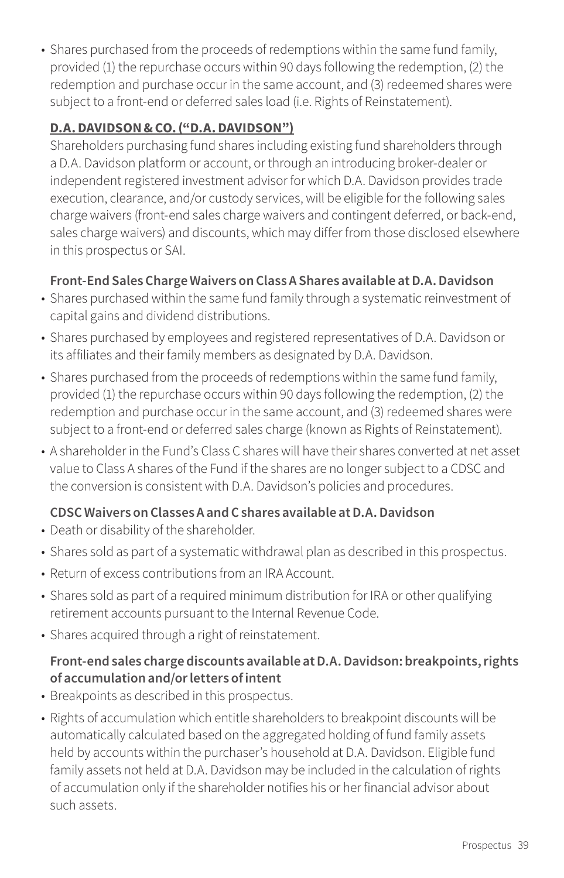• Shares purchased from the proceeds of redemptions within the same fund family, provided (1) the repurchase occurs within 90 days following the redemption, (2) the redemption and purchase occur in the same account, and (3) redeemed shares were subject to a front-end or deferred sales load (i.e. Rights of Reinstatement).

#### **D.A. DAVIDSON & CO. ("D.A. DAVIDSON")**

Shareholders purchasing fund shares including existing fund shareholders through a D.A. Davidson platform or account, or through an introducing broker-dealer or independent registered investment advisor for which D.A. Davidson provides trade execution, clearance, and/or custody services, will be eligible for the following sales charge waivers (front-end sales charge waivers and contingent deferred, or back-end, sales charge waivers) and discounts, which may differ from those disclosed elsewhere in this prospectus or SAI.

#### **Front-End Sales Charge Waivers on Class A Shares available at D.A. Davidson**

- Shares purchased within the same fund family through a systematic reinvestment of capital gains and dividend distributions.
- Shares purchased by employees and registered representatives of D.A. Davidson or its affiliates and their family members as designated by D.A. Davidson.
- Shares purchased from the proceeds of redemptions within the same fund family, provided (1) the repurchase occurs within 90 days following the redemption, (2) the redemption and purchase occur in the same account, and (3) redeemed shares were subject to a front-end or deferred sales charge (known as Rights of Reinstatement).
- A shareholder in the Fund's Class C shares will have their shares converted at net asset value to Class A shares of the Fund if the shares are no longer subject to a CDSC and the conversion is consistent with D.A. Davidson's policies and procedures.

#### **CDSC Waivers on Classes A and C shares available at D.A. Davidson**

- Death or disability of the shareholder.
- Shares sold as part of a systematic withdrawal plan as described in this prospectus.
- Return of excess contributions from an IRA Account.
- Shares sold as part of a required minimum distribution for IRA or other qualifying retirement accounts pursuant to the Internal Revenue Code.
- Shares acquired through a right of reinstatement.

#### **Front-end sales charge discounts available at D.A. Davidson: breakpoints, rights of accumulation and/or letters of intent**

- Breakpoints as described in this prospectus.
- Rights of accumulation which entitle shareholders to breakpoint discounts will be automatically calculated based on the aggregated holding of fund family assets held by accounts within the purchaser's household at D.A. Davidson. Eligible fund family assets not held at D.A. Davidson may be included in the calculation of rights of accumulation only if the shareholder notifies his or her financial advisor about such assets.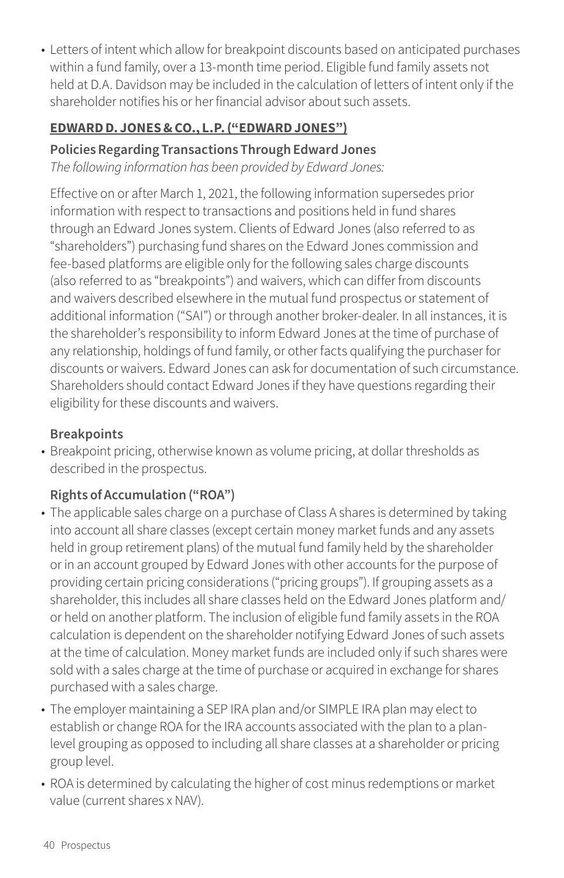• Letters of intent which allow for breakpoint discounts based on anticipated purchases within a fund family, over a 13-month time period. Eligible fund family assets not held at D.A. Davidson may be included in the calculation of letters of intent only if the shareholder notifies his or her financial advisor about such assets.

#### **EDWARD D. JONES & CO., L.P. ("EDWARD JONES")**

#### **Policies Regarding Transactions Through Edward Jones**

*The following information has been provided by Edward Jones:*

Effective on or after March 1, 2021, the following information supersedes prior information with respect to transactions and positions held in fund shares through an Edward Jones system. Clients of Edward Jones (also referred to as "shareholders") purchasing fund shares on the Edward Jones commission and fee-based platforms are eligible only for the following sales charge discounts (also referred to as "breakpoints") and waivers, which can differ from discounts and waivers described elsewhere in the mutual fund prospectus or statement of additional information ("SAI") or through another broker-dealer. In all instances, it is the shareholder's responsibility to inform Edward Jones at the time of purchase of any relationship, holdings of fund family, or other facts qualifying the purchaser for discounts or waivers. Edward Jones can ask for documentation of such circumstance. Shareholders should contact Edward Jones if they have questions regarding their eligibility for these discounts and waivers.

#### **Breakpoints**

• Breakpoint pricing, otherwise known as volume pricing, at dollar thresholds as described in the prospectus.

#### **Rights of Accumulation ("ROA")**

- The applicable sales charge on a purchase of Class A shares is determined by taking into account all share classes (except certain money market funds and any assets held in group retirement plans) of the mutual fund family held by the shareholder or in an account grouped by Edward Jones with other accounts for the purpose of providing certain pricing considerations ("pricing groups"). If grouping assets as a shareholder, this includes all share classes held on the Edward Jones platform and/ or held on another platform. The inclusion of eligible fund family assets in the ROA calculation is dependent on the shareholder notifying Edward Jones of such assets at the time of calculation. Money market funds are included only if such shares were sold with a sales charge at the time of purchase or acquired in exchange for shares purchased with a sales charge.
- The employer maintaining a SEP IRA plan and/or SIMPLE IRA plan may elect to establish or change ROA for the IRA accounts associated with the plan to a planlevel grouping as opposed to including all share classes at a shareholder or pricing group level.
- ROA is determined by calculating the higher of cost minus redemptions or market value (current shares x NAV).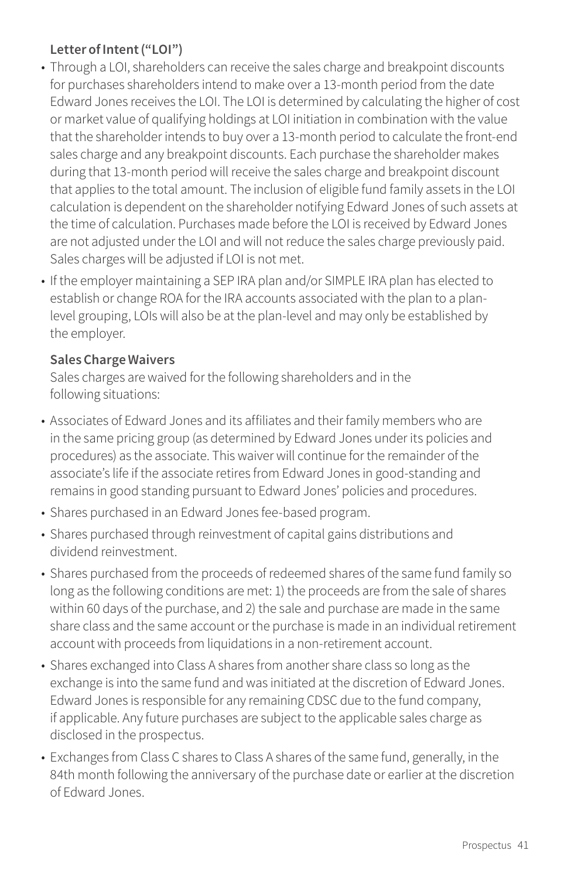#### **Letter of Intent ("LOI")**

- Through a LOI, shareholders can receive the sales charge and breakpoint discounts for purchases shareholders intend to make over a 13-month period from the date Edward Jones receives the LOI. The LOI is determined by calculating the higher of cost or market value of qualifying holdings at LOI initiation in combination with the value that the shareholder intends to buy over a 13-month period to calculate the front-end sales charge and any breakpoint discounts. Each purchase the shareholder makes during that 13-month period will receive the sales charge and breakpoint discount that applies to the total amount. The inclusion of eligible fund family assets in the LOI calculation is dependent on the shareholder notifying Edward Jones of such assets at the time of calculation. Purchases made before the LOI is received by Edward Jones are not adjusted under the LOI and will not reduce the sales charge previously paid. Sales charges will be adjusted if LOI is not met.
- If the employer maintaining a SEP IRA plan and/or SIMPLE IRA plan has elected to establish or change ROA for the IRA accounts associated with the plan to a planlevel grouping, LOIs will also be at the plan-level and may only be established by the employer.

#### **Sales Charge Waivers**

Sales charges are waived for the following shareholders and in the following situations:

- Associates of Edward Jones and its affiliates and their family members who are in the same pricing group (as determined by Edward Jones under its policies and procedures) as the associate. This waiver will continue for the remainder of the associate's life if the associate retires from Edward Jones in good-standing and remains in good standing pursuant to Edward Jones' policies and procedures.
- Shares purchased in an Edward Jones fee-based program.
- Shares purchased through reinvestment of capital gains distributions and dividend reinvestment.
- Shares purchased from the proceeds of redeemed shares of the same fund family so long as the following conditions are met: 1) the proceeds are from the sale of shares within 60 days of the purchase, and 2) the sale and purchase are made in the same share class and the same account or the purchase is made in an individual retirement account with proceeds from liquidations in a non-retirement account.
- Shares exchanged into Class A shares from another share class so long as the exchange is into the same fund and was initiated at the discretion of Edward Jones. Edward Jones is responsible for any remaining CDSC due to the fund company, if applicable. Any future purchases are subject to the applicable sales charge as disclosed in the prospectus.
- Exchanges from Class C shares to Class A shares of the same fund, generally, in the 84th month following the anniversary of the purchase date or earlier at the discretion of Edward Jones.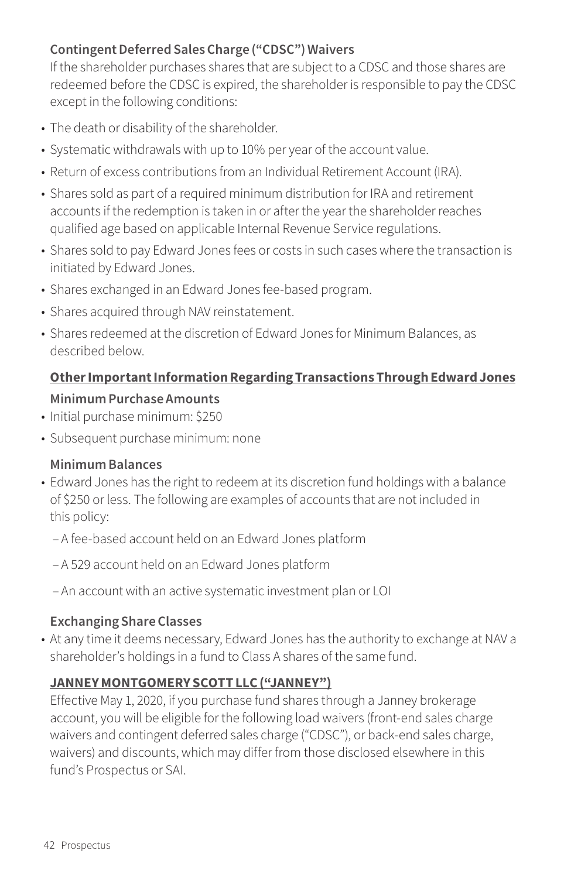#### **Contingent Deferred Sales Charge ("CDSC") Waivers**

If the shareholder purchases shares that are subject to a CDSC and those shares are redeemed before the CDSC is expired, the shareholder is responsible to pay the CDSC except in the following conditions:

- The death or disability of the shareholder.
- Systematic withdrawals with up to 10% per year of the account value.
- Return of excess contributions from an Individual Retirement Account (IRA).
- Shares sold as part of a required minimum distribution for IRA and retirement accounts if the redemption is taken in or after the year the shareholder reaches qualified age based on applicable Internal Revenue Service regulations.
- Shares sold to pay Edward Jones fees or costs in such cases where the transaction is initiated by Edward Jones.
- Shares exchanged in an Edward Jones fee-based program.
- Shares acquired through NAV reinstatement.
- Shares redeemed at the discretion of Edward Jones for Minimum Balances, as described below.

### **Other Important Information Regarding Transactions Through Edward Jones**

#### **Minimum Purchase Amounts**

- Initial purchase minimum: \$250
- Subsequent purchase minimum: none

#### **Minimum Balances**

- Edward Jones has the right to redeem at its discretion fund holdings with a balance of \$250 or less. The following are examples of accounts that are not included in this policy:
	- A fee-based account held on an Edward Jones platform
	- A 529 account held on an Edward Jones platform
	- An account with an active systematic investment plan or LOI

#### **Exchanging Share Classes**

• At any time it deems necessary, Edward Jones has the authority to exchange at NAV a shareholder's holdings in a fund to Class A shares of the same fund.

#### **JANNEY MONTGOMERY SCOTT LLC ("JANNEY")**

Effective May 1, 2020, if you purchase fund shares through a Janney brokerage account, you will be eligible for the following load waivers (front-end sales charge waivers and contingent deferred sales charge ("CDSC"), or back-end sales charge, waivers) and discounts, which may differ from those disclosed elsewhere in this fund's Prospectus or SAI.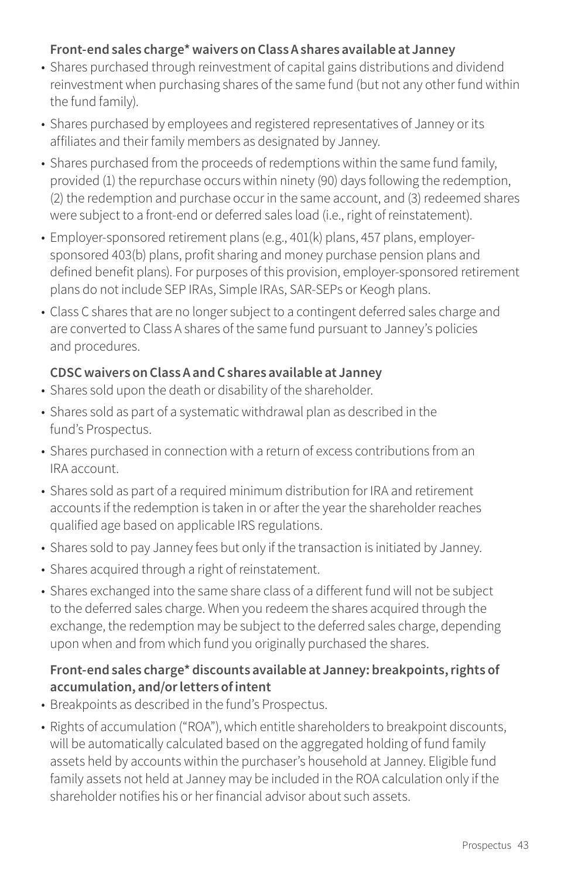#### **Front-end sales charge\* waivers on Class A shares available at Janney**

- Shares purchased through reinvestment of capital gains distributions and dividend reinvestment when purchasing shares of the same fund (but not any other fund within the fund family).
- Shares purchased by employees and registered representatives of Janney or its affiliates and their family members as designated by Janney.
- Shares purchased from the proceeds of redemptions within the same fund family, provided (1) the repurchase occurs within ninety (90) days following the redemption, (2) the redemption and purchase occur in the same account, and (3) redeemed shares were subject to a front-end or deferred sales load (i.e., right of reinstatement).
- Employer-sponsored retirement plans (e.g., 401(k) plans, 457 plans, employersponsored 403(b) plans, profit sharing and money purchase pension plans and defined benefit plans). For purposes of this provision, employer-sponsored retirement plans do not include SEP IRAs, Simple IRAs, SAR-SEPs or Keogh plans.
- Class C shares that are no longer subject to a contingent deferred sales charge and are converted to Class A shares of the same fund pursuant to Janney's policies and procedures.

#### **CDSC waivers on Class A and C shares available at Janney**

- Shares sold upon the death or disability of the shareholder.
- Shares sold as part of a systematic withdrawal plan as described in the fund's Prospectus.
- Shares purchased in connection with a return of excess contributions from an IRA account.
- Shares sold as part of a required minimum distribution for IRA and retirement accounts if the redemption is taken in or after the year the shareholder reaches qualified age based on applicable IRS regulations.
- Shares sold to pay Janney fees but only if the transaction is initiated by Janney.
- Shares acquired through a right of reinstatement.
- Shares exchanged into the same share class of a different fund will not be subject to the deferred sales charge. When you redeem the shares acquired through the exchange, the redemption may be subject to the deferred sales charge, depending upon when and from which fund you originally purchased the shares.

#### **Front-end sales charge\* discounts available at Janney: breakpoints, rights of accumulation, and/or letters of intent**

- Breakpoints as described in the fund's Prospectus.
- Rights of accumulation ("ROA"), which entitle shareholders to breakpoint discounts, will be automatically calculated based on the aggregated holding of fund family assets held by accounts within the purchaser's household at Janney. Eligible fund family assets not held at Janney may be included in the ROA calculation only if the shareholder notifies his or her financial advisor about such assets.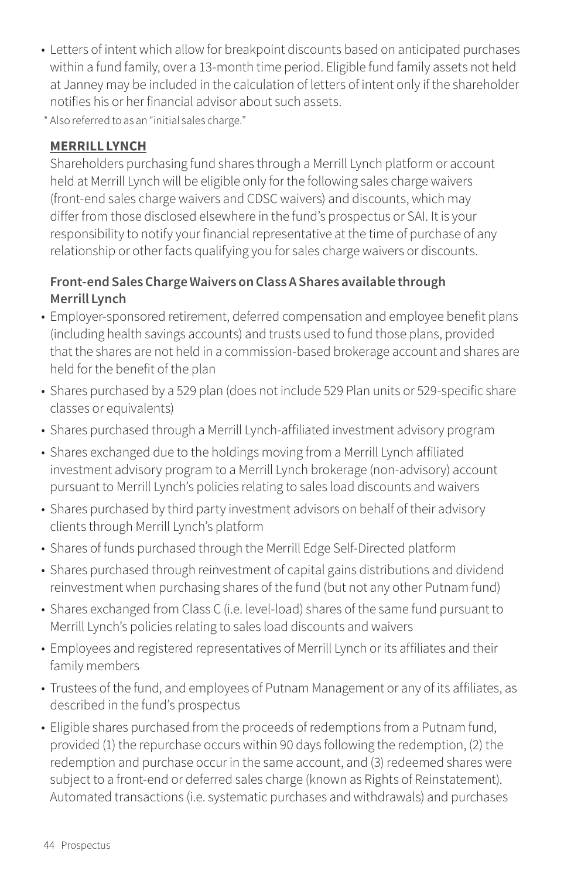- Letters of intent which allow for breakpoint discounts based on anticipated purchases within a fund family, over a 13-month time period. Eligible fund family assets not held at Janney may be included in the calculation of letters of intent only if the shareholder notifies his or her financial advisor about such assets.
- \* Also referred to as an "initial sales charge."

#### **MERRILL LYNCH**

Shareholders purchasing fund shares through a Merrill Lynch platform or account held at Merrill Lynch will be eligible only for the following sales charge waivers (front-end sales charge waivers and CDSC waivers) and discounts, which may differ from those disclosed elsewhere in the fund's prospectus or SAI. It is your responsibility to notify your financial representative at the time of purchase of any relationship or other facts qualifying you for sales charge waivers or discounts.

#### **Front-end Sales Charge Waivers on Class A Shares available through Merrill Lynch**

- Employer-sponsored retirement, deferred compensation and employee benefit plans (including health savings accounts) and trusts used to fund those plans, provided that the shares are not held in a commission-based brokerage account and shares are held for the benefit of the plan
- Shares purchased by a 529 plan (does not include 529 Plan units or 529-specific share classes or equivalents)
- Shares purchased through a Merrill Lynch-affiliated investment advisory program
- Shares exchanged due to the holdings moving from a Merrill Lynch affiliated investment advisory program to a Merrill Lynch brokerage (non-advisory) account pursuant to Merrill Lynch's policies relating to sales load discounts and waivers
- Shares purchased by third party investment advisors on behalf of their advisory clients through Merrill Lynch's platform
- Shares of funds purchased through the Merrill Edge Self-Directed platform
- Shares purchased through reinvestment of capital gains distributions and dividend reinvestment when purchasing shares of the fund (but not any other Putnam fund)
- Shares exchanged from Class C (i.e. level-load) shares of the same fund pursuant to Merrill Lynch's policies relating to sales load discounts and waivers
- Employees and registered representatives of Merrill Lynch or its affiliates and their family members
- Trustees of the fund, and employees of Putnam Management or any of its affiliates, as described in the fund's prospectus
- Eligible shares purchased from the proceeds of redemptions from a Putnam fund, provided (1) the repurchase occurs within 90 days following the redemption, (2) the redemption and purchase occur in the same account, and (3) redeemed shares were subject to a front-end or deferred sales charge (known as Rights of Reinstatement). Automated transactions (i.e. systematic purchases and withdrawals) and purchases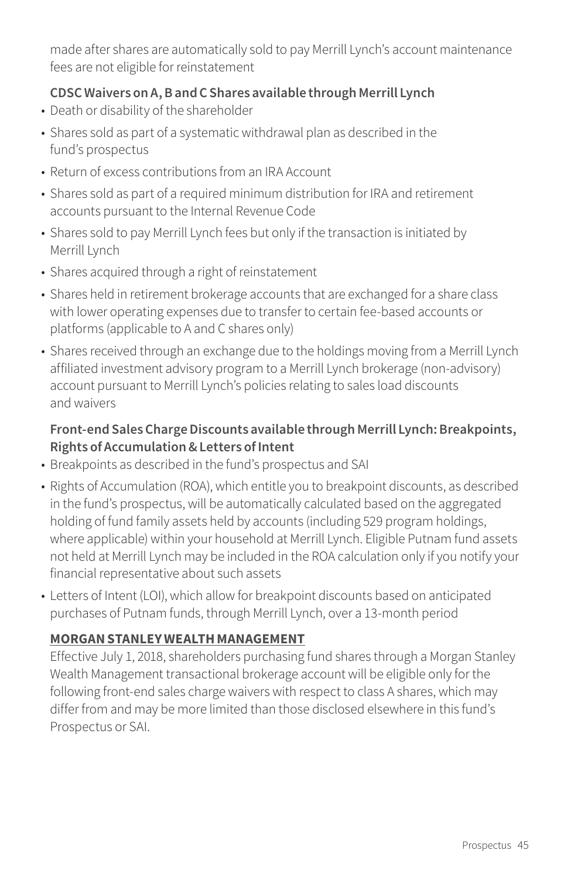made after shares are automatically sold to pay Merrill Lynch's account maintenance fees are not eligible for reinstatement

#### **CDSC Waivers on A, B and C Shares available through Merrill Lynch**

- Death or disability of the shareholder
- Shares sold as part of a systematic withdrawal plan as described in the fund's prospectus
- Return of excess contributions from an IRA Account
- Shares sold as part of a required minimum distribution for IRA and retirement accounts pursuant to the Internal Revenue Code
- Shares sold to pay Merrill Lynch fees but only if the transaction is initiated by Merrill Lynch
- Shares acquired through a right of reinstatement
- Shares held in retirement brokerage accounts that are exchanged for a share class with lower operating expenses due to transfer to certain fee-based accounts or platforms (applicable to A and C shares only)
- Shares received through an exchange due to the holdings moving from a Merrill Lynch affiliated investment advisory program to a Merrill Lynch brokerage (non-advisory) account pursuant to Merrill Lynch's policies relating to sales load discounts and waivers

#### **Front-end Sales Charge Discounts available through Merrill Lynch: Breakpoints, Rights of Accumulation & Letters of Intent**

- Breakpoints as described in the fund's prospectus and SAI
- Rights of Accumulation (ROA), which entitle you to breakpoint discounts, as described in the fund's prospectus, will be automatically calculated based on the aggregated holding of fund family assets held by accounts (including 529 program holdings, where applicable) within your household at Merrill Lynch. Eligible Putnam fund assets not held at Merrill Lynch may be included in the ROA calculation only if you notify your financial representative about such assets
- Letters of Intent (LOI), which allow for breakpoint discounts based on anticipated purchases of Putnam funds, through Merrill Lynch, over a 13-month period

#### **MORGAN STANLEY WEALTH MANAGEMENT**

Effective July 1, 2018, shareholders purchasing fund shares through a Morgan Stanley Wealth Management transactional brokerage account will be eligible only for the following front-end sales charge waivers with respect to class A shares, which may differ from and may be more limited than those disclosed elsewhere in this fund's Prospectus or SAI.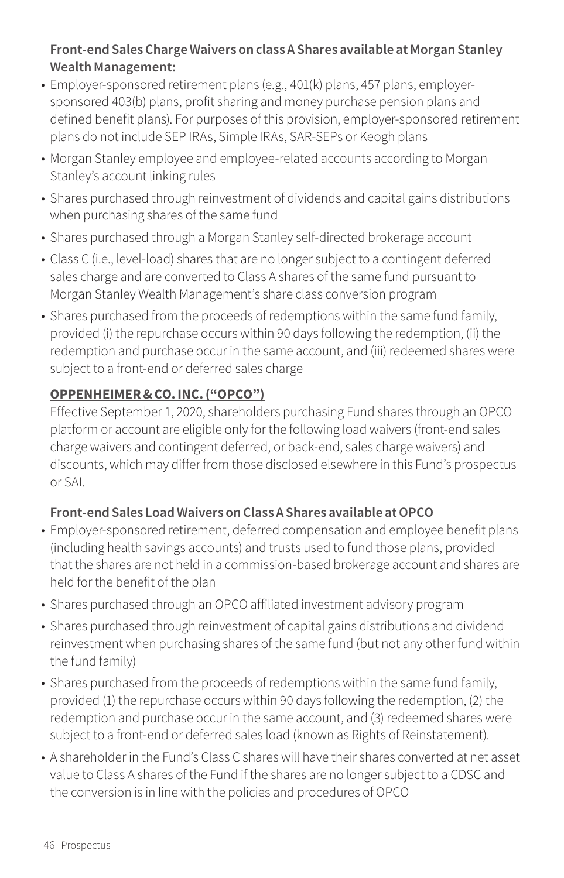#### **Front-end Sales Charge Waivers on class A Shares available at Morgan Stanley Wealth Management:**

- Employer-sponsored retirement plans (e.g., 401(k) plans, 457 plans, employersponsored 403(b) plans, profit sharing and money purchase pension plans and defined benefit plans). For purposes of this provision, employer-sponsored retirement plans do not include SEP IRAs, Simple IRAs, SAR-SEPs or Keogh plans
- Morgan Stanley employee and employee-related accounts according to Morgan Stanley's account linking rules
- Shares purchased through reinvestment of dividends and capital gains distributions when purchasing shares of the same fund
- Shares purchased through a Morgan Stanley self-directed brokerage account
- Class C (i.e., level-load) shares that are no longer subject to a contingent deferred sales charge and are converted to Class A shares of the same fund pursuant to Morgan Stanley Wealth Management's share class conversion program
- Shares purchased from the proceeds of redemptions within the same fund family, provided (i) the repurchase occurs within 90 days following the redemption, (ii) the redemption and purchase occur in the same account, and (iii) redeemed shares were subject to a front-end or deferred sales charge

#### **OPPENHEIMER & CO. INC. ("OPCO")**

Effective September 1, 2020, shareholders purchasing Fund shares through an OPCO platform or account are eligible only for the following load waivers (front-end sales charge waivers and contingent deferred, or back-end, sales charge waivers) and discounts, which may differ from those disclosed elsewhere in this Fund's prospectus or SAI.

#### **Front-end Sales Load Waivers on Class A Shares available at OPCO**

- Employer-sponsored retirement, deferred compensation and employee benefit plans (including health savings accounts) and trusts used to fund those plans, provided that the shares are not held in a commission-based brokerage account and shares are held for the benefit of the plan
- Shares purchased through an OPCO affiliated investment advisory program
- Shares purchased through reinvestment of capital gains distributions and dividend reinvestment when purchasing shares of the same fund (but not any other fund within the fund family)
- Shares purchased from the proceeds of redemptions within the same fund family, provided (1) the repurchase occurs within 90 days following the redemption, (2) the redemption and purchase occur in the same account, and (3) redeemed shares were subject to a front-end or deferred sales load (known as Rights of Reinstatement).
- A shareholder in the Fund's Class C shares will have their shares converted at net asset value to Class A shares of the Fund if the shares are no longer subject to a CDSC and the conversion is in line with the policies and procedures of OPCO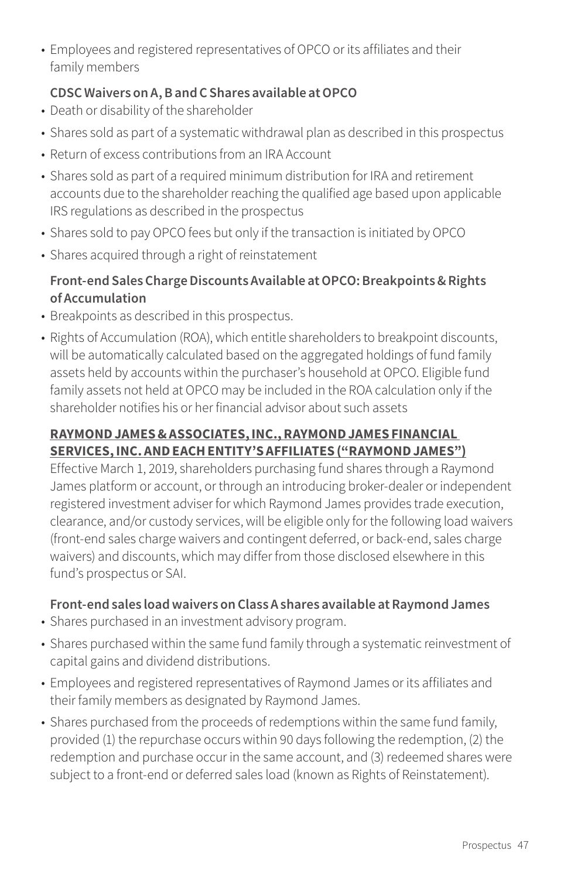• Employees and registered representatives of OPCO or its affiliates and their family members

#### **CDSC Waivers on A, B and C Shares available at OPCO**

- Death or disability of the shareholder
- Shares sold as part of a systematic withdrawal plan as described in this prospectus
- Return of excess contributions from an IRA Account
- Shares sold as part of a required minimum distribution for IRA and retirement accounts due to the shareholder reaching the qualified age based upon applicable IRS regulations as described in the prospectus
- Shares sold to pay OPCO fees but only if the transaction is initiated by OPCO
- Shares acquired through a right of reinstatement

#### **Front-end Sales Charge Discounts Available at OPCO: Breakpoints & Rights of Accumulation**

- Breakpoints as described in this prospectus.
- Rights of Accumulation (ROA), which entitle shareholders to breakpoint discounts, will be automatically calculated based on the aggregated holdings of fund family assets held by accounts within the purchaser's household at OPCO. Eligible fund family assets not held at OPCO may be included in the ROA calculation only if the shareholder notifies his or her financial advisor about such assets

#### **RAYMOND JAMES & ASSOCIATES, INC., RAYMOND JAMES FINANCIAL SERVICES, INC. AND EACH ENTITY'S AFFILIATES ("RAYMOND JAMES")**

Effective March 1, 2019, shareholders purchasing fund shares through a Raymond James platform or account, or through an introducing broker-dealer or independent registered investment adviser for which Raymond James provides trade execution, clearance, and/or custody services, will be eligible only for the following load waivers (front-end sales charge waivers and contingent deferred, or back-end, sales charge waivers) and discounts, which may differ from those disclosed elsewhere in this fund's prospectus or SAI.

#### **Front-end sales load waivers on Class A shares available at Raymond James**

- Shares purchased in an investment advisory program.
- Shares purchased within the same fund family through a systematic reinvestment of capital gains and dividend distributions.
- Employees and registered representatives of Raymond James or its affiliates and their family members as designated by Raymond James.
- Shares purchased from the proceeds of redemptions within the same fund family, provided (1) the repurchase occurs within 90 days following the redemption, (2) the redemption and purchase occur in the same account, and (3) redeemed shares were subject to a front-end or deferred sales load (known as Rights of Reinstatement).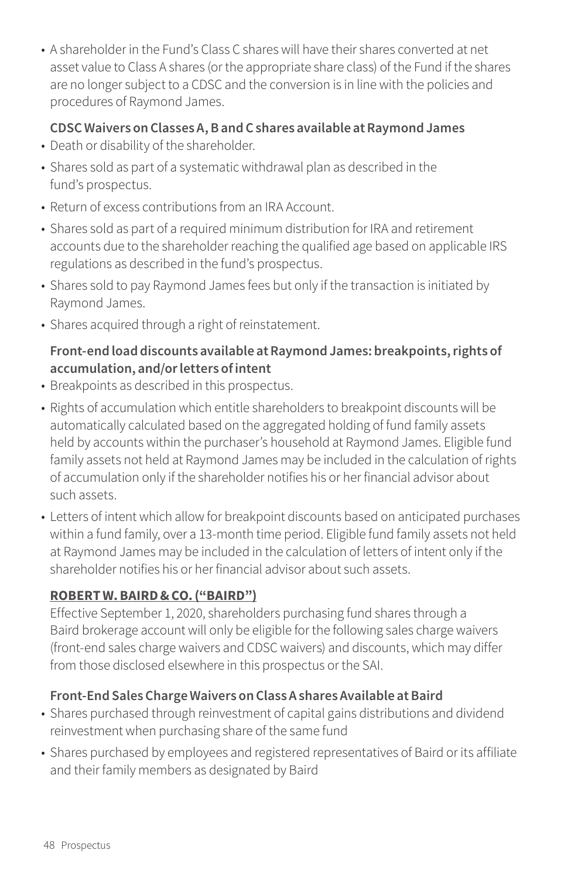• A shareholder in the Fund's Class C shares will have their shares converted at net asset value to Class A shares (or the appropriate share class) of the Fund if the shares are no longer subject to a CDSC and the conversion is in line with the policies and procedures of Raymond James.

#### **CDSC Waivers on Classes A, B and C shares available at Raymond James**

- Death or disability of the shareholder.
- Shares sold as part of a systematic withdrawal plan as described in the fund's prospectus.
- Return of excess contributions from an IRA Account.
- Shares sold as part of a required minimum distribution for IRA and retirement accounts due to the shareholder reaching the qualified age based on applicable IRS regulations as described in the fund's prospectus.
- Shares sold to pay Raymond James fees but only if the transaction is initiated by Raymond James.
- Shares acquired through a right of reinstatement.

#### **Front-end load discounts available at Raymond James: breakpoints, rights of accumulation, and/or letters of intent**

- Breakpoints as described in this prospectus.
- Rights of accumulation which entitle shareholders to breakpoint discounts will be automatically calculated based on the aggregated holding of fund family assets held by accounts within the purchaser's household at Raymond James. Eligible fund family assets not held at Raymond James may be included in the calculation of rights of accumulation only if the shareholder notifies his or her financial advisor about such assets.
- Letters of intent which allow for breakpoint discounts based on anticipated purchases within a fund family, over a 13-month time period. Eligible fund family assets not held at Raymond James may be included in the calculation of letters of intent only if the shareholder notifies his or her financial advisor about such assets.

#### **ROBERT W. BAIRD & CO. ("BAIRD")**

Effective September 1, 2020, shareholders purchasing fund shares through a Baird brokerage account will only be eligible for the following sales charge waivers (front-end sales charge waivers and CDSC waivers) and discounts, which may differ from those disclosed elsewhere in this prospectus or the SAI.

#### **Front-End Sales Charge Waivers on Class A shares Available at Baird**

- Shares purchased through reinvestment of capital gains distributions and dividend reinvestment when purchasing share of the same fund
- Shares purchased by employees and registered representatives of Baird or its affiliate and their family members as designated by Baird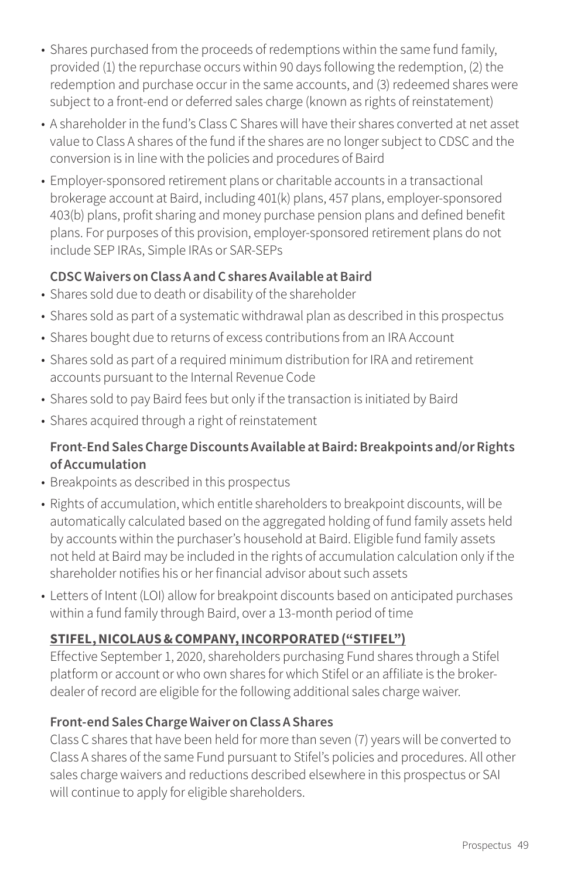- Shares purchased from the proceeds of redemptions within the same fund family, provided (1) the repurchase occurs within 90 days following the redemption, (2) the redemption and purchase occur in the same accounts, and (3) redeemed shares were subject to a front-end or deferred sales charge (known as rights of reinstatement)
- A shareholder in the fund's Class C Shares will have their shares converted at net asset value to Class A shares of the fund if the shares are no longer subject to CDSC and the conversion is in line with the policies and procedures of Baird
- Employer-sponsored retirement plans or charitable accounts in a transactional brokerage account at Baird, including 401(k) plans, 457 plans, employer-sponsored 403(b) plans, profit sharing and money purchase pension plans and defined benefit plans. For purposes of this provision, employer-sponsored retirement plans do not include SEP IRAs, Simple IRAs or SAR-SEPs

#### **CDSC Waivers on Class A and C shares Available at Baird**

- Shares sold due to death or disability of the shareholder
- Shares sold as part of a systematic withdrawal plan as described in this prospectus
- Shares bought due to returns of excess contributions from an IRA Account
- Shares sold as part of a required minimum distribution for IRA and retirement accounts pursuant to the Internal Revenue Code
- Shares sold to pay Baird fees but only if the transaction is initiated by Baird
- Shares acquired through a right of reinstatement

#### **Front-End Sales Charge Discounts Available at Baird: Breakpoints and/or Rights of Accumulation**

- Breakpoints as described in this prospectus
- Rights of accumulation, which entitle shareholders to breakpoint discounts, will be automatically calculated based on the aggregated holding of fund family assets held by accounts within the purchaser's household at Baird. Eligible fund family assets not held at Baird may be included in the rights of accumulation calculation only if the shareholder notifies his or her financial advisor about such assets
- Letters of Intent (LOI) allow for breakpoint discounts based on anticipated purchases within a fund family through Baird, over a 13-month period of time

#### **STIFEL, NICOLAUS & COMPANY, INCORPORATED ("STIFEL")**

Effective September 1, 2020, shareholders purchasing Fund shares through a Stifel platform or account or who own shares for which Stifel or an affiliate is the brokerdealer of record are eligible for the following additional sales charge waiver.

#### **Front-end Sales Charge Waiver on Class A Shares**

Class C shares that have been held for more than seven (7) years will be converted to Class A shares of the same Fund pursuant to Stifel's policies and procedures. All other sales charge waivers and reductions described elsewhere in this prospectus or SAI will continue to apply for eligible shareholders.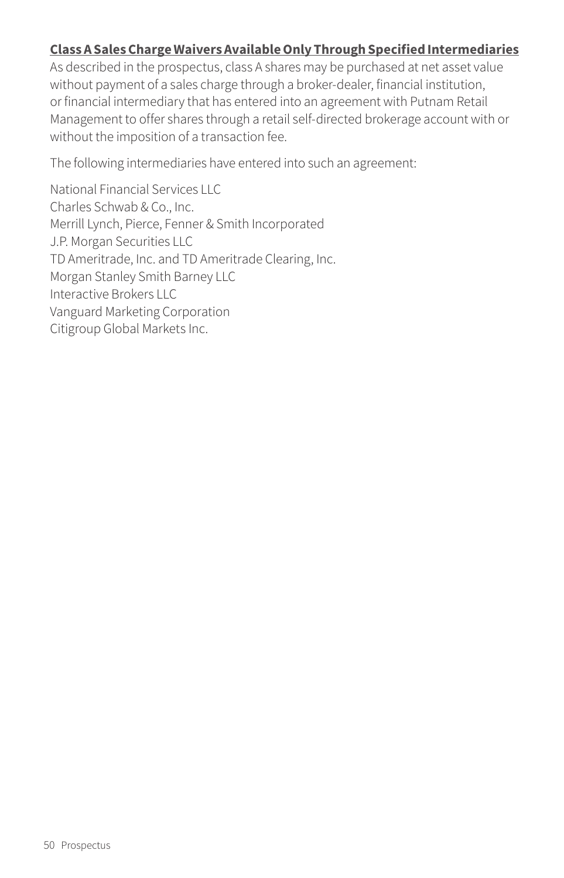#### **Class A Sales Charge Waivers Available Only Through Specified Intermediaries**

As described in the prospectus, class A shares may be purchased at net asset value without payment of a sales charge through a broker-dealer, financial institution, or financial intermediary that has entered into an agreement with Putnam Retail Management to offer shares through a retail self-directed brokerage account with or without the imposition of a transaction fee.

The following intermediaries have entered into such an agreement:

National Financial Services LLC Charles Schwab & Co., Inc. Merrill Lynch, Pierce, Fenner & Smith Incorporated J.P. Morgan Securities LLC TD Ameritrade, Inc. and TD Ameritrade Clearing, Inc. Morgan Stanley Smith Barney LLC Interactive Brokers LLC Vanguard Marketing Corporation Citigroup Global Markets Inc.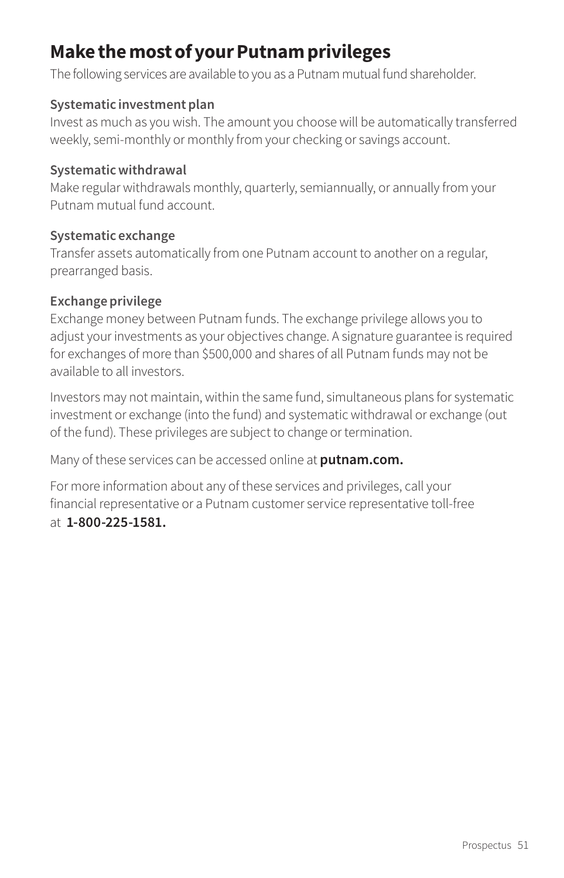## **Make the most of your Putnam privileges**

The following services are available to you as a Putnam mutual fund shareholder.

#### **Systematic investment plan**

Invest as much as you wish. The amount you choose will be automatically transferred weekly, semi-monthly or monthly from your checking or savings account.

#### **Systematic withdrawal**

Make regular withdrawals monthly, quarterly, semiannually, or annually from your Putnam mutual fund account.

#### **Systematic exchange**

Transfer assets automatically from one Putnam account to another on a regular, prearranged basis.

#### **Exchange privilege**

Exchange money between Putnam funds. The exchange privilege allows you to adjust your investments as your objectives change. A signature guarantee is required for exchanges of more than \$500,000 and shares of all Putnam funds may not be available to all investors.

Investors may not maintain, within the same fund, simultaneous plans for systematic investment or exchange (into the fund) and systematic withdrawal or exchange (out of the fund). These privileges are subject to change or termination.

Many of these services can be accessed online at **[putnam.com.](https://www.putnam.com?ref=SP020.pdf)**

For more information about any of these services and privileges, call your financial representative or a Putnam customer service representative toll-free at **1-800-225-1581.**